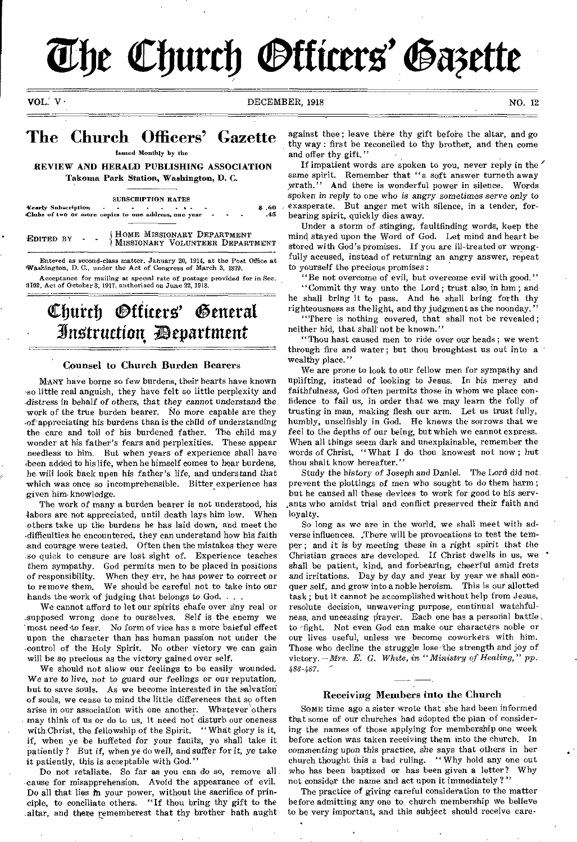# The Church **Otticers' Gazette**

 $VOL: V \cdot$  DECEMBER, 1918  $NO. 12$ 

## The Church Officers' Gazette

Issued Monthly by tin

REVIEW AND HERALD PUBLISHING ASSOCIATION<br>
Takoma Park Station, Washington, D. C.<br>
SUBSCRIPTION RATES<br>
Yearly Subscription<br>
Clubs of two or more copies to one address, one year<br>
And S. 60 Takoma Park Station, Washington, D. C.

#### SUBSCRIPTION RATES

|               | Yearly Subscription<br>Clubs of two or more copics to one address, one year | 8.60<br>.45 |
|---------------|-----------------------------------------------------------------------------|-------------|
| EDITED BY $-$ | SHOME MISSIONARY DEPARTMENT<br>{MISSIONARY VOLUNTEER DEPARTMENT             |             |

Entered as second-class matter. January 20, 1914, at the Post Office at 'Washington, D. C., under the Act of Congress of March 3, 1879.

Acceptance for mailing at special rate of postage provided for in Sec. al03, Act of October 3, 1917, authorised on June 22, 1918.

# Church Officers' General Instruction **Department**

#### Counsel to Church Burden Bearers

MANY have borne so few burdens, their hearts have known eo little real anguish, they have felt so little perplexity and distress *in* behalf *of* others, that they *cannot* understand the work of the true burden bearer, No more capable are they ,of appreciating his burdens than is the child of understanding the care and toil of his burdened father. The child may wonder at his father's fears and perplexities. These appear needless to him. But when years of experience shall have been added to his life, when he himself comes to hear burdens, he will look back upon his father's life, and understand that which was once so incomprehensible. Bitter experience has given him. knowledge.

The work of many a burden bearer is not understood, his labors are not appreciated, until death lays him low. When others take up the burdens he has laid down, and meet the -difficulties he encountered, they can understand how his faith and courage were tested. Often then the mistakes they were so quick to censure are lost sight of. Experience teaches them sympathy. God permits men to be placed in positions of responsibility. When they err, he has power to correct or to remove them. We should be careful not to take into our hands the work of judging that belongs to God. . . .

We cannot afford to let our spirits chafe over dny real or ,supposed wrong done to ourselves. Self is the enemy we - most need to fear. No form of vice has a more baleful effect upon the character than has human passion not under the ,control of the Holy Spirit. No other victory we can gain will be so precious as the victory gained over self.

We should not allow our feelings to be easily wounded. We are to live, not to *guard* our feelings or our reputation, but to save souls. As we become interested in the salvation of souls, we cease to mind the little differences that so often arise in our association with one another. Whatever others may think of us or do to us, it need not disturb our oneness with Christ, the fellowship of the Spirit. " What glory is it, if, when ye be buffeted for your faults, ye shall take it patiently ? But if, when ye do well, and suffer for *it,* ye take it patiently, this is acceptable with God."

Do not retaliate. So far as you can do so, remove all cause for misapprehension. Avoid the appearance of evil. Do all that lies in your power, without the sacrifice of principle, to conciliate others. "If thou bring thy gift to the .altar, and there rememberest that thy brother hath aught

against thee; leave there thy gift before the altar, and go thy way : first be reconciled to thy brother, and then come and offer thy gift."

If impatient words are spoken to you, never reply in the same spirit. Remember that "a soft answer turneth away wrath." And there is wonderful power in silence. Words spoken in reply to one who *is angry* sometimes *serve only to*  exasperate. But anger met with silence, in a tender, forbearing spirit, quickly dies away.

Under a storm of stinging, faultfinding words, keep the mind stayed upon the Word of God. Let mind and heart be stored with God's promises. If you are ill-treated or wrongfully accused, instead of returning an angry answer, repeat to yourself the precious promises :

"Be not overcome of evil, but overcome evil with good." "Commit thy way unto the Lord ; trust also, in him ; andhe shall bring it to pass. And he shall bring forth thy

righteousness as the light, and thy judgment as the noonday." "There is nothing covered, that shall not be revealed; neither hid, that shall not be known."

"Thou hast caused men to ride over our heads ; we went through fire and water; but thou broughtest us out into a wealthy place."

We are prone to look to our fellow men for sympathy and uplifting, instead of looking to Jesus. In his mercy and faithfulness, God often permits those in whom we place confidence to fail us, in order that we may learn the folly of trusting in man, making flesh our arm. Let us trust fully, humbly, unselfishly in God. He knows the sorrows that we feel to the depths of our being, but which we cannot express. When all things seem dark and unexplainable, remember the words of Christ, " What I do thou knowest not now ; but thou shalt know hereafter."

Study the history of Joseph *and* Daniel. The Lord did not prevent the plottings of men who sought to do them harm ; but he caused all these devices to work for good to his servants who amidst trial and conflict preserved their faith and loyalty.

So long as we are in the world, we shall meet with adverse influences. ,There will be provocations to test the temper ; and it is by meeting these in a right spirit that the Christian graces are developed. If Christ dwells in us, we shall be patient, kind, and forbearing, cheerful amid frets and irritations. Day by day and year by year we shall conquer self, and grow into a noble heroism. This is our allotted task ; but it cannot be accomplished without help from Jesus, resolute decision, unwavering purpose, continual watchfulness, and unceasing prayer. Each one has a personal battle, to fight. Not even God can make our characters noble or our lives useful, unless we become coworkers with him. Those who decline the struggle lose-the strength and joy of victory. *—Mrs. E. G. White, in "Ministry of Healing," pp. 488-487.* 

#### Receiving Members into the Church

SOME time ago a sister wrote that she had been informed that some of our churches had adopted the plan of considering the names of those applying for membership one week before action was taken receiving them into the church. In *commenting* upon this practice, she says that others in her church thought this a bad ruling. " Why hold any one out who has been baptized or has been given a letter? Why not consider the name and act upon it immediately?'

The practice of giving careful consideration to the matter before admitting any one to church membership we believe to be very important, and this subject should receive care- .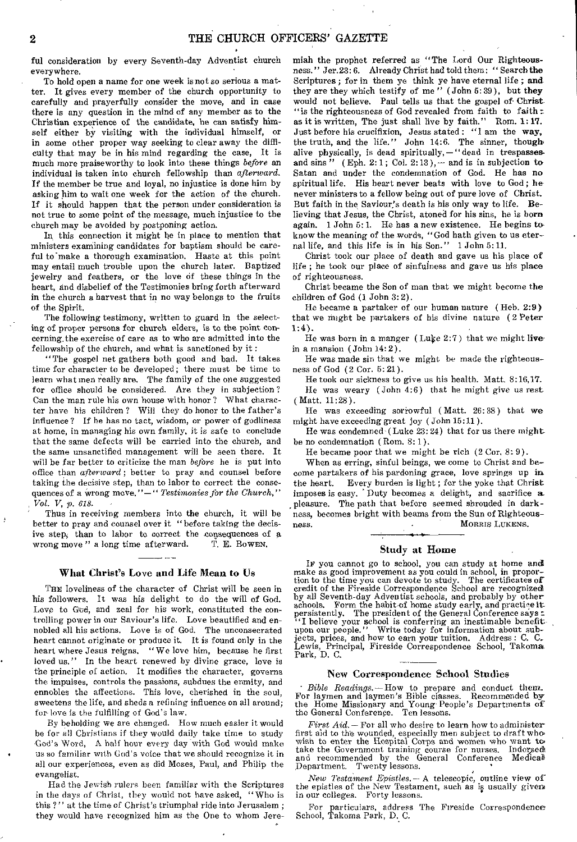ful consideration by every Seventh-day Adventist church everywhere.

To hold open a name for one week is not so serious a matter. It gives every member of the church opportunity to carefully and prayerfully consider the move, and in case there is any question in the mind of any member as to the Christian experience of the candidate, he can satisfy himself either by visiting with the individual himself, or in some other proper way seeking to clear away the difficulty that may be in his mind regarding the case, It is much more praiseworthy to look into these things *before* an individual is taken into church fellowship than *afterward.*  If the member be true and loyal, no injustice is done him by asking him to wait one week for the action of the church. If it should happen that the person under consideration is not true to some point of the message, much injustice to the church may be avoided by postponing action.

In this connection it might be in place to mention that ministers examining candidates for baptism should be careful to make a thorough examination. Haste at this point may entail much trouble upon the church later. Baptized jewelry and feathers, or the love of these things in the heart, and disbelief of the Testimonies bring forth afterward in the church a harvest that in no way belongs to the fruits of the Spirit.

The following testimony, written to guard in the selecting of proper persons for church elders, is to the point concerning the exercise of care as to who are admitted into the fellowship of the church, and what is sanctioned by it :

"The gospel net gathers both good and bad. It takes time for character to be developed; there must be time to learn what men really are. The family of the one suggested for office should be considered. Are they in subjection? Can the man rule his own house with honor? What character have his children ? Will they do honor to the father's influence? If he has no tact, wisdom, or power of godliness at home, in managing his own family, it is safe to conclude that the same defects will be carried into the church, and the same unsanctified management will be seen there. It will be far better to criticize the man *before* he is put into office than *afterward ;* better to pray and counsel before taking the decisive step, than to labor to correct the consequences of a Wrong move. "— " *Testimonies for the Church," Vol. V, p. 618.* 

Thus in receiving members into the church, it will be better to pray and counsel over it "before taking the decisive step, than to labor to correct the consequences of a wrong move" a long time afterward. T. E. Bowen. wrong move" a long time afterward.

#### What Christ's Love and Life Mean to Us

THE loveliness of the character of Christ will be seen in his followers. It was his delight to do the will of God. Love to God, and zeal for his work, constituted the controlling power in our Saviour's life. Love beautified and ennobled all his actions. Love is of God. The unconsecrated heart cannot originate or produce it. It is found only in the heart where Jesus reigns. " We love him, because he first loved us." In the heart renewed by divine grace, love is the principle of action. It modifies the character, governs the impulses, controls the passions, subdues the enmity, and ennobles the affections. This love, cherished in the soul, sweetens the life, and sheds a refining influence on all around; for-love is the fulfilling of God's law.

By beholding we are changed. How much easier it would be for all Christians if they would daily take time to study God's Word, A half hour every day with God would make us so familiar with God's voice that we should recognize it in all our experiences, even as did Moses, Paul, and Philip the evangelist.

Had the Jewish rulers been familiar with the Scriptures in the days of Christ, they would not have asked, "Who is this ?" at the time of Christ's triumphal ride into Jerusalem ; they would have recognized him as the One to whom Jere-

miah the prophet referred as "The Lord Our Righteousness." Jer.23: 6. Already Christ had told them: " Search the Scriptures ; for in them ye think ye have eternal life ; and they are they which testify of me" (John 5:39), but they would not believe. Paul tells us that the gospel of Christ. "is the righteousness of God revealed from faith to faith  $z$ as it is written, The just shall live by faith." Rom. *1:17.*  Just before his crucifixion, Jesus stated : "I am the way, the truth, and the life." John 14:6. The sinner, though. alive physically, is dead spiritually, -" dead in trespassesand sins " (Eph. 2:1; Col. 2:13),  $-$  and is in subjection to Satan and under the condemnation of God. He has no spiritual life. His heart never beats with love to God; he never ministers to a fellow being out of pure love of Christ. But faith in the Saviour's death is his only way to life. Believing that Jesus, the Christ, atoned for his sins, he is born again. 1 John 5: 1. He has a new existence. He begins to know the meaning of the words, "God bath given to us eternal life, and this life is in his Son." 1 John 5:11.

Christ took our place of death and gave us his place of life ; he took our place of sinfulness and gave us his place of righteousness.

Christ became the Son of man that we might become the children of God (1 John 3:2).

He became a partaker of our human nature ( Heb. 2:9) that we might be partakers of his divine nature ( 2 Peter 1:4).

He was born in a manger (Luke 2:7) that we might live in a mansion ( John 14:2 ).

He was made sin that we might be made the righteousness of God ( 2 Cor. 5: 21).

He took our sickness to give us his health. Matt. 8:16,17.

He was weary ( John 4:6) that he might give us rest ( Matt. 11:28 ).

He was exceeding sorrowful ( Matt. 26: 38 ) that we might have exceeding great joy ( John 15:11 ).

He was condemned (Luke 23:24) that for us there might be no condemnation ( Rom. 8: 1).

He became poor that we might be rich (2 Cor. 8: 9 ).

When as erring, sinful beings, we come to Christ and become partakers of his pardoning grace, love springs up in the heart. Every burden is light; for the yoke that Christ Every burden is light; for the yoke that Christ imposes is easy. Duty becomes a delight, and sacrifice a. pleasure. The path that before seemed shrouded in darkness, becomes bright with beams from the Sun of Righteousness. **• MORRIS LUKENS.** 

#### Study at Home

*IF* you cannot go to school, you can study at home and make as good improvement as you could in school, in proportion to the time you can devote to study. The certificates of credit of the Fireside Correspondence School are recognized<br>by all Seventh-day Adventist schools, and  $i$ <sup>1</sup> I believe your school is conferring an inestimable benefiting<br>upon our people.'' Write today for information about sub-<br>jects, prices, and how to earn your tuition. Address : C. C.<br>Lewis, Principal, Fireside Corres Lewis, Prin<br>Park, D. C.

#### New Correspondence School Studies

Bible Readings.—How to prepare and conduct them.<br>For laymen and laymen's Bible classes. Recommended by the Home Missionary and Young People's Departments of the General Conference. Ten lessons.

First Aid. -- For all who desire to learn how to administer<br>first aid to the wounded, especially men subject to draft who<br>wish to enter the Hospital Corps and women who want to<br>take the Government training course for nurs

*New Testament Epistles.—* A telescopic, outline view of the epistles of the New Testament, such as is usually given in our colleges. Forty lessons.

For particulars, address The Fireside Correspondence School, Takoma Park, D. C.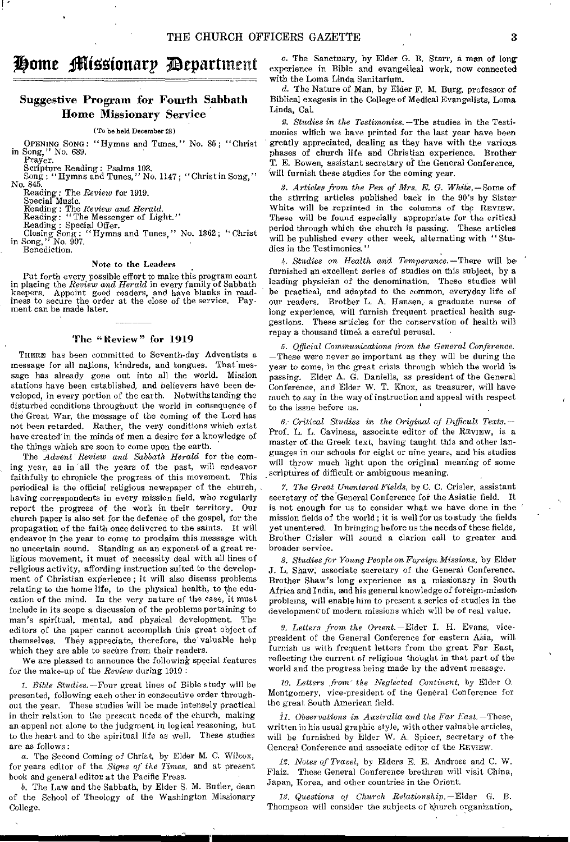## **Home Missionary Department**

#### Suggestive Program for Fourth Sabbath Home Missionary Service

#### (To be held December 28)

OPENING SONG: "Hymns and Tunes," No. 85; "Christ in Song," No. 689. Prayer.

Scripture Reading: Psalms 103. Song : "Hymns and Tunes," No. 1147 ; "Christ in Song," No. 845.

Reading : The Review for 1919.<br>
Special Music.<br>
Reading : The Review and Herald.<br>
Reading : "The Messenger of Light."<br>
Reading : Special Offer.<br>
Closing Song : "Hymns and Tunes," No. 1362; "Christ<br>
in Song," No. 907.

Benediction.

#### Note to the Leaders

Put forth every possible effort to make this program count in placing the *Review* and *Herald* in every family of Sabbath keepers. Appoint good readers, and have blanks in read-iness to secure the order at the close of the service. Payment can be made later.

#### The "Review" for 1919

THERE has been committed to Seventh-day Adventists a message for all nations, kindreds, and tongues. That message has already gone out into all the world. Mission stations have been established, and believers have been developed, in every portion of the earth. Notwithstanding the disturbed conditions throughout the world in consequence of the Great War, the message of the coming of the Lord has not been retarded. Rather, the very conditions which exist have created' in the minds of men a desire for a knowledge of the things which are soon to come upon the earth.

The *Advent Review and Sabbath Herald* for the coming year, as in all the years of the past, will endeavor faithfully to chronicle the progress of this movement. This periodical is the official religious newspaper of the church, having correspondents in every mission field, who regularly report the progress of the work in their territory. Our church paper is also set for the defense of the gospel, for the propagation of the faith once delivered to the saints. endeavor in the year to come to proclaim this message with no uncertain sound. Standing as an exponent of a great religious movement, it must of necessity deal with all lines of religious activity, affording instruction suited to the development of Christian experience; it will also discuss problems relating to the home life, to the physical health, to the education of the mind. In the very nature of the case, it must include in its scope a discussion of the problems pertaining to man's spiritual, mental, and physical development. The editors of the paper' cannot accomplish this great object of themselves. They appreciate, therefore, the' valuable help which they are able to secure from their readers.

We are pleased to announce the following special features for the make-up of the *Review* during 1919 :

*1. Bible Studies.* —Four great lines of Bible study will be presented, following each other in consecutive order throughout the year. These studies will be made intensely practical in their relation to the present needs of the church, making an appeal not alone to the judgment in logical reasoning, but to the heart and to the spiritual life as well. These studies are as follows :

a. The Second Coming of Christ, by Elder M. C. Wilcox, for years editor of the *Signs of the Times,* and at present book and general editor at the Pacific Press.

b. The Law and the Sabbath, by Elder S. M. Butler, dean of the School of Theology of the Washington Missionary College.

e. The Sanctuary, by Elder G. B. Starr, a man of long experience in Bible and evangelical work, now connected with the Loma Linda Sanitarium.

*d.* The Nature of Man, by Elder F. M. Burg, professor of Biblical exegesis in the College of Medical Evangelists, Loma Linda, Cal.

*2. Studies in the Testimonies.* —The studies in the Testimonies which we have printed for the last year have been 'greatly appreciated, dealing as they have with the various phases of church life and Christian experience. Brother T. E. Bowen, assistant secretary of the General Conference, Will furnish these studies for the coming year.

*3. Articles from the Pen of Mrs. E. G. White,* —Some of the stirring articles published back in the 90's by Sister White will be reprinted in the columns of the REVIEW. These will be found especially appropriate for the critical period through which the church is passing. These articles will be published every other week, alternating with "Studies in the Testimonies."

*4. Studies on Health and Temperance.* —There will be furnished an excellent series of studies on this subject, by a leading physician of the denomination. These studies will be practical, and adapted to the common, everyday life of our readers. Brother L. A. Hansen, a graduate nurse of long experience, will furnish frequent practical health suggestions. These articles for the conservation of health will repay a thousand time's a careful perusal.

*5. Official Communications from the General Conference.*  These were never so important as they will be during the year to come, in the great crisis through which the world is passing. Elder A. G. Daniells, as president of the General Conference, and Elder W. T. Knox, as treasurer, will have much to say in the way of instruction and appeal with respect to the issue before us.

*6: Critical Studies in the Original of Difficult Texts.* — Prof. L. L. Caviness, associate editor of the REVIEW, is a master of-the Greek text, having taught this and other languages in our schools for eight or nine years, and his studies will throw much light upon the original meaning of some scriptures of difficult or ambiguous meaning.

*7. The Great Unentered Fields,* by C. C. Crisler, assistant secretary of the General Conference for the Asiatic field. It is not enough for us to consider what we have done in the mission fields of the world ; it is well for us to study the fields yet unentered. In bringing before us the needs of these fields, Brother Crisler will sound a clarion call to greater and broader service.

*8. Studies for Young People on Foreign Missions,* by Elder J. L. Shaw; associate secretary of the General Conference. Brother Shaw's long experience as a missionary in South Africa and India, and his general knowledge of foreign-mission problems, will enable him to present a series of- studies in the development of modern missions which will be of real value.

*9. Letters from the Orient.*—Elder I. H. Evans, vicepresident of the General Conference for eastern Asia, will, furnish us with frequent letters from the great Far East, reflecting the current of religious thobght in that part of the world and the progress being made by the advent message.

*10. Letters from' the Neglected Continent,* by Elder 0. Montgomery, vice-president of the General Conference for the great South American field.

*11. Observations in Australia and the Far East.* —These, written in his usual graphic style, with other valuable articles, will be furnished by Elder W. A, Spicer, secretary of the General Conference and associate editor of the REVIEW.

*12. Notes of Travel,* by Elders E. E. Andross and C. W. Flaiz. These General Conference brethren will visit China, Japan, Korea, and other countries in the Orient.

*13. Questions of Church Relationship.* —Elder G. B. Thompson will consider the subjects of *khurch* organization,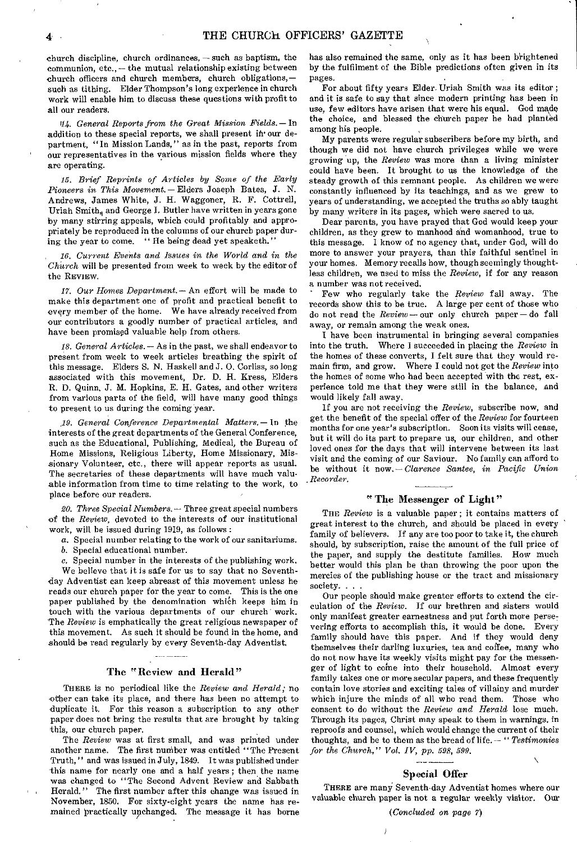church discipline, church ordinances, — such as baptism, the communion, etc., — the mutual relationship existing between church officers and church members, church obligations, such as tithing. Elder Thompson's *long* experience in church work will enable him to discuss these questions with profit to all our readers.

*94. General Reports from the Great Mission Fields. —* In addition to these special reports, we shall present in' our department, "In Mission Lands," as in the past, reports from our representatives in the various mission fields where they are operating.

*15. Brief Reprints of Articles by Some of the Early Pioneers in This Movement. —* Elders Joseph Bates, J. N. Andrews, James White, J. H. Waggoner, R. F. Cottrell, Uriah Smith, and George I. Butler have written in years gone by many stirring appeals, which could profitably and appropriately be reproduced in the columns of our church paper during the year to come. " He being dead yet speaketh."

*16. Current Events and Issues in the World and in the Church* will be presented from week to week by the editor of the REVIEW.

*17. Our Homes Department.—* An effort will be made to make this department one of profit and practical benefit to every member of the home. We have already received from our contributors a goodly number of practical articles, and have been promised valuable help from others.

*18. General Articles. —* As in the past, we shall endeavor to present from week to week articles breathing the spirit of this message. Elders S. N. Haskell and J. 0. Corliss, so long associated with this movement, Dr. D. H. Kress, Elders R. D. Quinn, J. M. Hopkins, E. H. Gates, and other writers from various parts of the field, will have many good things to present to us during the coming year.

*19. General Conference Departmental Matters.* — In the interests of the great departments of the General Conference, such as the Educational, Publishing, Medical, the Bureau of Home Missions, Religious Liberty, Home Missionary, Missionary Volunteer, etc., there will appear reports as usual. The secretaries of these departments will have much valuable information from time to time relating to the work, to place before our readers.

*20. Three Special Numbers. —* Three great special numbers of the *Review,* devoted to the interests of our institutional work, will be issued during 1919, as follows :

a. Special number relating to the work of our sanitariums.

b. Special educational number.

c. Special number in the interests of the publishing work. We believe that it is safe for us to say that no Seventhday Adventist can keep abreast of this movement unless he reads our church paper for the year to come. This is the one paper published by the denomination which keeps him in touch with the various departments of our church work. The *Review* is emphatically the great religious newspaper of this movement. As such it should be found in the home, and should be read regularly by every Seventh-day Adventist.

#### The "Review and Herald"

THERE is no periodical like the *Review and Herald;* no other can take its place, and there has been no attempt to duplicate it. For this reason a subscription to any other paper does not bring the results that are brought by taking this, our church paper.

The *Review* was at first small, and was printed under another name. The first number was entitled "The Present Truth," and was issued in July, 1849. It was published under this name for nearly one and a half years ; then the name was changed to "The Second Advent Review and Sabbath Herald." The first number after this change was issued in The first number after this change was issued in November, 1850. For sixty-eight years the name has remained practically unchanged. The message it has borne

has also remained the same, only as it has been brightened by the fulfilment of the Bible predictions often given in its pages.

For about fifty years Elder. Uriah Smith was its editor ; and it is safe to say that since modern printing has been in use, few editors have arisen that were his equal. God made the choice, and blessed the church paper he had planted among his people.

My parents were regular subscribers before my birth, and though we did not have church privileges while we were growing up, the *Review* was more than a living minister could have been. It brought to us the knowledge of the steady growth of this remnant people. As children we were constantly influenced by its teachings, and as we grew to years of understanding, we accepted the truths so ably taught by many writers in its pages, which were sacred to us.

Dear parents, you have prayed that God would keep your children, as they grew to manhood and womanhood, true to this message. I know of no agency that, under God, will do more to answer your prayers, than this faithful sentinel in your homes. Memory recalls how, though seemingly thoughtless children, we used to miss the *Review,* if for any reason a number was not received.

- Few who regularly take the *Review* fall away. The records show this to be true. A large per cent of those who do not read the *Review—* our only church paper—do fall away, or remain among the weak ones.

I have been instrumental in bringing several companies into the truth. Where I succeeded in placing the *Review* in the homes of these converts, I felt sure that they would remain firm, and grow. Where I could not get the *Review* into the homes of some who had been accepted with the rest, experience told me that they were still in the balance, and would likely fall away.

If you are not receiving the *Review,* subscribe now, and get the benefit of the special offer of the *Review* for fourteen months for one year's subscription. Soon its visits will cease, but it will do its part to prepare us, our children, and other loved ones for the days that will intervene between its last visit and the coming of our Saviour. No family can afford to be without it now.— *Clarence Santee, in Pacific Union Recorder.* 

#### "The Messenger of Light"

THE *Review* is a valuable paper; it contains matters of great interest to the church, and should be placed in every family of believers. If any are too poor to take it, the church should, by subscription, raise the amount of the full price of the paper, and supply the destitute families. How much better would this plan be than throwing the poor upon the mercies of the publishing house or the tract and missionary society. . .

Our people should make greater efforts to extend the circulation of the *Review.* If our brethren and sisters would only manifest greater earnestness and put forth more persevering efforts to accomplish this, it would be done. Every family should have this paper. And if they would deny themselves their darling luxuries, tea and coffee, many who do not now have its weekly visits might pay for the messenger of light to come into their household. Almost every family takes one or more secular papers, and these frequently contain love stories and exciting tales of villainy and murder which injure the minds of all who read them. Those who consent to do without the *Review and Herald* lose much. Through its pages, Christ may speak to them in warnings, in reproofs and counsel, which would change the current of their thoughts, and be to them as the bread of life.-- " *Testimonies for the Church," Vol. IV, pp. 598, 599.* 

#### Special Offer

THERE are many Seventh-day Adventist homes where our valuable church paper is not a regular weekly visitor. Our

*(Concluded on page 7)*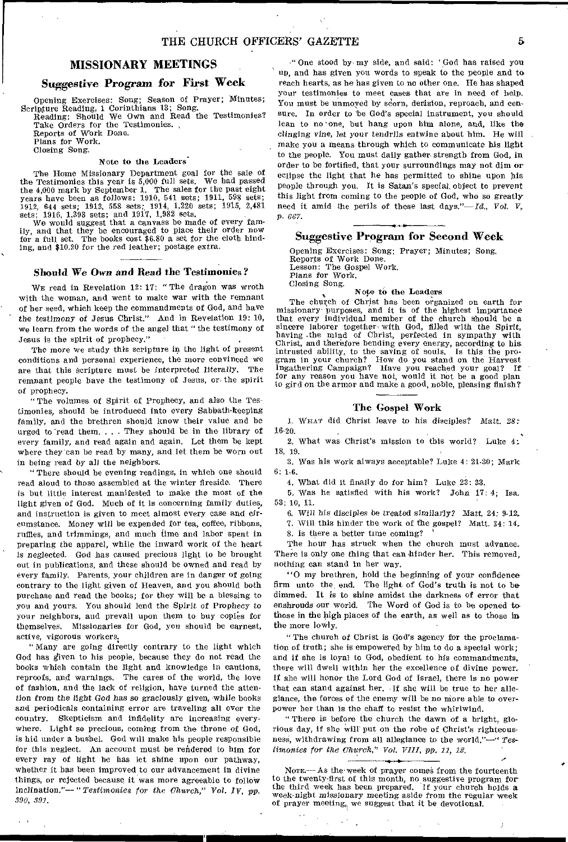#### MISSIONARY MEETINGS

#### Suggestive Program for First Week

Opening Exercises: Song; Season of Prayer; Minutes; Scripture Reading, 1 Corinthians 13; Song. Reading: Should We Own and Read the Testimonies?

Take Orders for the Testimonies. , Reports of Work Done.

Plans for Work.

Closing Song.

#### Note to the Leaders'

The Home Missionary Department goal for the sale of the Testimonies this year is 5,000 full sets. We had passed the 4,000 mark by September 1. The sales for the past eight Years have been as follows: 1910, 541 sets; 1911, 598 sets; 1912, 644 sets; 1913, 558 sets; 1914, 1,220 sets; 1915, 2,481 sets; 1916, 1,393 sets; and 1917, 1,982 sets. We would suggest that a canvass be made of every fam-

ily, and that they be encouraged to place their order now for a full set. The books cost \$6.80 a set for the cloth binding, and \$10,20 for the red leather; postage extra.

#### Should We Own and Read the Testimonies?

WE read in Revelation 12: 17: "The dragon was wroth with the woman, and went to make war with the remnant of her seed, which keep the commandments of God, and have the *testimony* of Jesus Christ." And in Revelation 19: 10, we learn from the words of the angel that "the testimony of Jesus is the spirit of prophecy."

us is the spirit of prophecy."<br>The more we study this scripture in the light of present conditions and personal experience, the more convinced we are that this scripture must be interpreted literally. The remnant people have the testimony of Jesus, or the spirit of prophecy.

"The volumes of Spirit of Prophecy, and also the Testimonies, should be introduced into every Sabbath-keeping family, and the brethren should know their value and be urged to 'read them. . . . They should be in the library of every family, and read again and again. Let them be kept where they'can be read by many, and let them be worn out in being read by all the neighbors.

" There should be evening readings, in which one should read aloud to those assembled at the winter fireside. There is but little interest manifested to make the most of the light given of God. Much of it is concerning family duties, and instruction is given to meet almost every case and circumstance. Money will be expended for tea, coffee, ribbons, ruffles, and trimmings, and much time and labor spent in preparing the apparel, while the inward work of the heart *is* neglected. God has caused precious light to be brought out in publications, and these should be owned and read by every family. Parents, your children are in danger of going contrary to the light given of Heaven, and you should both purchase and read the books; for they will be a blessing to you and yours. You should lend the Spirit of Prophecy to your neighbors, and prevail upon them to buy copies for themselves. Missionaries for God, you should be earnest, active, vigorous workers.

" Many are going directly contrary to the light which God has given to his people, because they do not read the books which contain the light and knowledge in cautions, reproofs, and warnings. The cares of the world, the love of fashion, and the lack of religion, have turned the attention from the light God has so graciously given, while books and periodicals containing error are traveling all over the country. Skepticism and infidelity are increasing everywhere. Light so precious, coming from the throne of God, is hid under a bushel. God will make his people responsible for this neglect. An account must be rendered to him for every ray of light he has let shine upon our pathway, whether it has been improved to our advancement in divine things, or rejected because it was more agreeable to follow inclination."— *"Testimonies for the Church," Vol. IV, pp. 390, 391.* 

One stood by my side, and said: ' God has raised you up, and has given you words to speak to the people and to reach hearts, as he has given to no other one. He has shaped your testimonies to meet cases that are in need of help. You must be unmoved by scorn, derision, reproach, and censure. In order to be God's special instrument, you should lean to no 'one, but hang upon him alone, and, like the clinging vine, *let your* tendrils entwine about him. He will make you a means through which to communicate his light to the people. You must daily gather- strength from God, in order to be fortified, that your surroundings may not dim or eclipse the light that he has permitted to shine upon his people through you. It is Satan's special, object to prevent this light from coming to the people of God, who so greatlyneed it amid the perils of these last days."— *Id., Vol. V, P. 667.* 

#### Suggestive Program for Second Week

Opening Exercises: Song; Prayer; Minutes; Song. Reports of Work Done. Lesson: The Gospel Work. Plans *for* Work. Closing Song.

#### Note to the Leaders

The church of Christ has been organized on earth for missionary purposes, and it is of the highest importance that every individual member of the church should be a sincere laborer together with God, filled with the Spirit, having the mind of Christ, perfected in sympathy with Christ, and therefore bending every energy, according to his intrusted ability, to the saving of souls. Is this the program in your church? How do you stand on the Harvest Ingathering Campaign? Have you reached your goal? If for any reason you have not, would it not be a good plan to gird on the armor and make a good, noble, pleasing finish?

#### The Gospel Work

1. WIIAT did Christ leave to his disciples? Matt. 28: 16-20.

2. What was Christ's mission to this world? Luke 4: 18, 19.

3. Was his work always acceptable? Luke 4: 21-30; Mark 6: 1-6,

4. What did it finally do for him? Luke 23: 33.

5. Was he satisfied with his work? John 17: 4; Isa. 53: 10, 11.

6. Will his disciples be treated similarly? Matt. 24: 9-12.

7. Will this hinder the work of the gospel? Matt. 24: 14.

8. Is there a better time coming? '

The hour has struck when the church must advance. There is only one thing that can hinder her. This removed, nothing can stand in her way.

"0 my brethren, hold the beginning of your confidence firm unto the end. The light of God's truth is not to be dimmed. It is to shine amidst the darkness of error that enshrouds our world. The Word of God is to be opened to those in the high places of the earth, as well as to those in the more lowly.

"The church of Christ is God's agency for the proclamation of truth; she is empowered by him to do a special work; and if she is loyal to God; obedient to his commandments, there will dwell within her the excellence of divine power. If she will honor the Lord God of Israel, there is no power that can stand against her. -If she will be true to her allegiance, the forces of the enemy will be no niore able to overpower her than is the chaff to resist the whirlwind.

" There is before the church the dawn of a bright, glorious day, if she will' put on the robe of Christ's righteousness, withdrawing from all allegiance to the world."—" *Testimonies for the Church," Vol. VIII, pp. 11, 12.* 

NOTE.—As the week of prayer comes from the fourteenth to the twenty-first of this month, no suggestive program for the third week has been prepared. If your church holds a week-night missionary meeting aside from the regular week of prayer meeting, we suggest that it be devotional.

J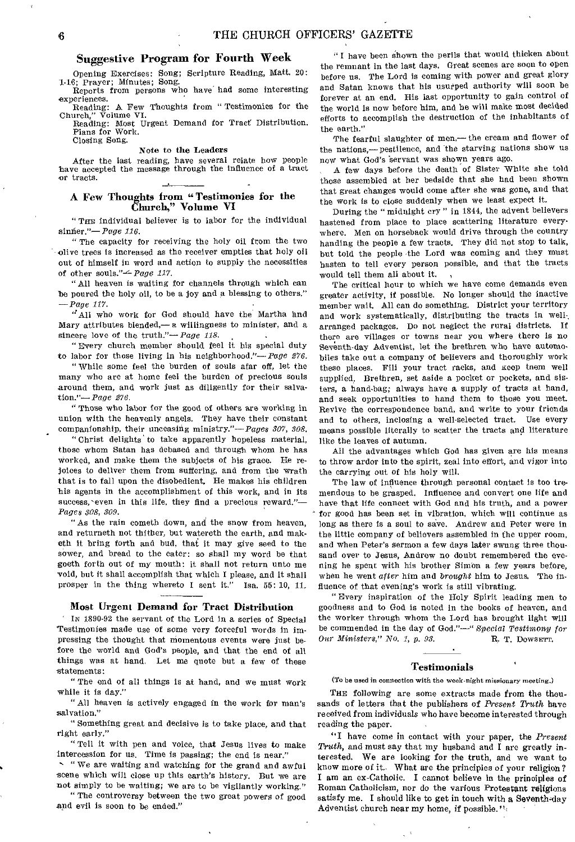#### Suggestive Program for Fourth Week

Opening Exercises: Song; Scripture Reading, Matt. 20: 1-16; Prayer; Minutes; Song. Reports from persons who have had some interesting

experiences. Reading: A Few Thoughts from " Testimonies for the

Church," Volume VI.

Reading: Most Urgent Demand for Tract Distribution. Plans for Work. Closing Song.

#### Note to the Leaders

After the last reading, have several relate how people have accepted the message through the influence of a tract or tracts.

#### A Few Thoughts from "Testimonies for the Church," Volume VI

"THE individual believer is to labor for the individual sinter."— *Page 116.* 

"The capacity for receiving the holy oil from the two olive trees is increased as the receiver empties that holy oil out of himself in word and action to supply the necessities of other souls." $\leftarrow$ *Page 117.* 

"All heaven is waiting for channels through which can be poured the holy oil, to be a joy and a blessing to others." *—Page 117.* 

"All who work for God should have the Martha 'and Mary attributes blended,— a willingness to minister, and a sincere love of the truth."— *Page 118.* 

" Every church member should feel it his special duty to labor for those living in his neighborhood."— *Page 276.* 

" While some feel the burden of souls afar off, let the many who are at home feel the burden of precious souls around them, and work just as diligently for their salvation."—Page *276.* 

" Those who labor for the good of others are working in union with the heavenly angels. They have their constant companionship, their unceasing ministry."— *Pages 307, 808.* 

"Christ delights' to take apparently hopeless material, those whom Satan has debased and through whom he has worked, and make them the subjects of his grace. He rejoices to deliver them from suffering, and from the wrath that is to fall upon the disobedient. He makes his children his agents in the accomplishment of this work, and in its success, even in this life, they find a precious reward."-*Pages 308, 809.* 

"As the rain cometh down, and the snow from heaven, and returneth not thither, but watereth the earth, and maketh it bring forth and bud, that it may give seed to the sower, and bread to the eater: so shall my word be that goeth forth out of my mouth: it shall not return unto me void, but it shall accomplish that which I please, and it shall prosper in the thing whereto I sent it." Isa. 55: 10, 11.

#### Most Urgent Demand for Tract Distribution

In 1890-92 the servant of the Lord in a series of Special Testimonies made use of some very forceful words in impressing the thought that momentous events were just before the world and God's people, and that the end of all things was at hand. Let me quote but a few of these statements:

" The end of all things is at hand, and we must work while it is day."

"All heaven is actively engaged in the work for man's salvation."

" Something great and decisive is to take place, and that right early."

"Tell it with pen and voice, that Jesus lives to make intercession for us. Time is passing; the end is near."

" We are waiting and watching for the grand and awful scene which will close up this earth's history. But we are not simply to be waiting; we are to be vigilantly working."

" The controversy between the two great powers of good and evil is soon to be ended."

" I have been shown the perils that would thicken about the remnant in the last days. Great scenes are soon to open before us. The Lord is coming with power and great glory and Satan knows that his usurped authority will soon be forever at an end. His last opportunity to gain control of the world is now before him, and he will make most decided efforts to accomplish the destruction of the inhabitants of the earth."

The fearful slaughter of men,— the cream and flower of the nations,— pestilence, and the starving nations show us now what God's servant was shown years ago.

A few days before the death of Sister White she told those assembled at her bedside that she had been shown that great changes would come after she was gone, and that the work is to close suddenly when we least expect it.

During the "midnight cry " in 1844, the advent believers hastened from place to place scattering literature everywhere. Men on horseback would drive through the country handing the people a few tracts. They did not stop to talk, but told the people the Lord was coming and they must hasten to tell every person possible, and that the tracts would tell them all about it.

The critical hour to which we have come demands even greater activity, if possible. No longer should the inactive member wait. All can do something. District your territory and work systematically, distributing the tracts in wellarranged packages. Do not neglect the rural districts. If there are villages or towns near you where there is no Seventh-day Adventist, let the brethren who have automobiles take out a company of believers and thoroughly work these places. Fill your tract racks, and Keep tnem well supplied. Brethren, set aside a pocket or pockets, and sisters, a hand-bag; always have a supply of tracts at hand, and seek opportunities to hand them to those you meet. Revive the correspondence band, and write to your friends and to others, inclosing a well-selected tract, Use every means possible literally to scatter the tracts and literature like the leaves of autumn.

All the advantages which God has given are his means to throw ardor into the spirit, zeal into effort, and vigor into the carrying out of his holy will.

The law of influence through personal contact is too tremendous to be grasped. Influence and convert one life and have that life connect with God and his truth, and a power for good has been set in vibration, which will continue as long as there is a soul to save. Andrew and Peter were in the little company of believers assembled in the upper room, and when Peter's sermon a few days later swung three thousand over to Jesus, Andrew no doubt remembered the evening he spent with his brother Simon a few years before, when he went *after* him and *brought* him to Jesus. The influence of that evening's work is still vibrating.

" Every inspiration of the Holy Spirit leading men to goodness and to God is noted in the books of heaven, and the worker through whom the Lord has brought light will be commended in the day of God."—"Special *Testimony for Our Ministers," No. 1, p. 93.* R. T. DOWSETT.

#### Testimonials

(To be used in connection with the week-night missionary meeting.)

THE following are some extracts made from the thousands of letters that the publishers of *Present Truth* have received from individuals who have become interested through reading the paper.

"I have come in contact with your paper, the *Present Truth,* and must say that my husband and I are greatly interested. We are looking for the truth, and we want to know more of it. What are the principles of your religion? I am an ex-Catholic. I cannot believe in the principles of Roman Catholicism, nor do the various Protestant religions satisfy me. I should like to get in touch with a Seventh-day Adventist church near my home, if possible."

 $\zeta^{-1}$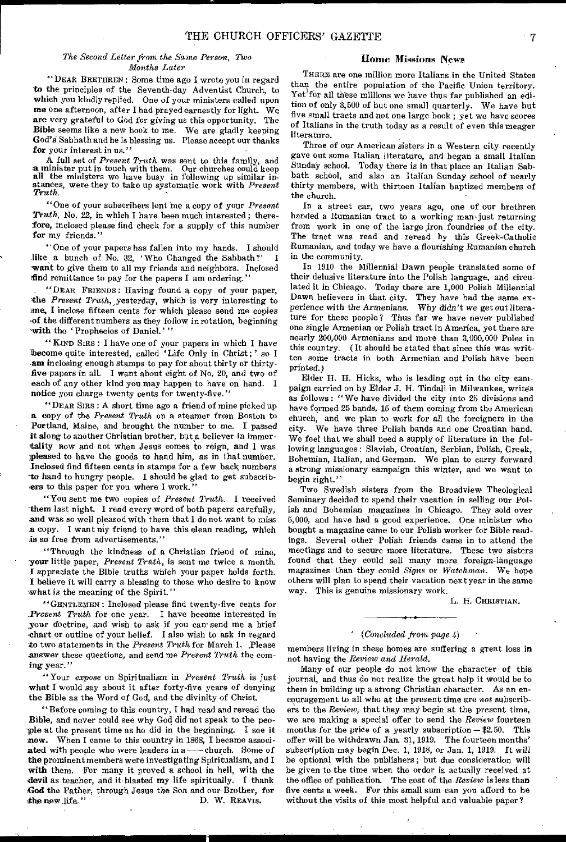#### *The Second Letter from the Same Person, Two Months Later*

"DEAR. BRETHREN: Some time ago I wrote you in regard to the principles of the Seventh-day Adventist Church, to which you kindly replied. One of your ministers called upon **me** one afternoon, after I had prayed earnestly for light. We are very grateful to God for giving us this opportunity. The **Bible** seems like a new book to me. We are gladly keeping God's Sabbath and he is blessing us. Please accept our thanks for your interest in us."

A full set of *Present Truth* was sent to this family, and a minister put in touch with them. Our churches could keep **all** the ministers we have busy in following up similar in-stances, were they to take up systematic work with *Present Truth.* 

"One of your subscribers lent me a copy of your *Present Truth,* No. 22, in which I have been much interested ; therefore, inclosed please find check for a supply of this number for my friends."

'One of your papers has fallen into my hands. I should like a bunch of No. 32, 'Who Changed the Sabbath?' want to give them to all my friends and neighbors. Inclosed find remittance to pay for the papers I am ordering."

"DEAR FRIENDS: Having found a copy of your paper, the *Present Truth,* yesterday, which is very interesting to **me, I** inclose fifteen cents for which please send me copies -of the different numbers as they follow in rotation, beginning with the 'Prophecies of Daniel.'"

" KIND SIRS : **I** have one of your papers in which I have lbecome quite interested, called 'Life Only in Christ ; ' so I am inclosing enough stamps to pay for about thirty or thirtyfive papers in all. I want about eight of No. 20, and two of each of any other kind you may happen to have on hand. I notice you charge twenty cents for twenty-five."

"DEAR SIRS : A short time ago a friend of mine picked up *a* copy of the *Present Truth* on a steamer from Boston to Portland, Maine, and brought the number to me. I passed it along to another Christian brother, but a believer in immortality now and not when Jesus comes to reign, and I was ;pleased to have the goods to hand him, as in that number. Inclosed find fifteen cents in stamps for a few back numbers to hand to hungry people. I should be glad to get subscribers to this paper for you where I work."

"You sent me two copies of *Present Truth*. I received **-them** last night. I read every word of both papers carefully, and was so well pleased with them that I do not want to miss a copy. I want my friend to have this elean reading, which **is so** free from advertisements."

"Through the kindness of a Christian friend of mine, your little paper, *Present Truth,* is sent me twice a month. **I** appreciate the Bible truths which your paper holds forth. **I** believe it will carry a blessing to those who desire to know what is the meaning of the Spirit."

"GENTLEMEN : Inclosed please find twenty-five cents for *Present Truth* for one year. I have become interested in your doctrine, and wish to ask if you can send me a brief chart or outline of your belief. I also wish to ask in regard to two statements in the *Present Truth* for March 1. ,Please answer these questions, and send me *Present Truth* the coming year."

"Your *expose* on Spiritualism in *Present Truth* is just what **I** would say about it after forty-five years of denying **the** Bible as the Word of God, and the divinity of Christ

"Before coming to this country, I had read and reread the **Bible,** and never could see why God did not speak to the peo ple at the present time as he did in the beginning. I see it now. When I came to this country in 1868, I became associated with people who were leaders in a — church. Some of ated with people who were leaders in a  $$ **the** prominent members were investigating Spiritualism, and I with them. For many it proved a school in hell, with the **devil** as teacher, and it blasted my life spiritually. I thank God the Father, through Jesus the Son and our Brother, for the new life."<br>D. W. REAVIS. the new life."

#### **Home Missions News**

THERE are one million more Italians in the United States than the entire population of the Pacific Union territory. Yet for all these millions we have thus far published an edition of only 3,500 of but one small quarterly. We have but five small tracts and not one large book ; yet we have scores of Italians in the truth today as a result of even this meager literature.

Three of our American sisters in a Western city recently gave out some Italian literature, and began a small Italian Sunday school. Today there is in that place an Italian Sabbath school, and also an Italian Sunday school of nearly thirty members, with thirteen Italian baptized members of the church.

In a street car, two years ago, one of our brethren handed a Rumanian tract to a working man just returning from work in one of the large ,iron foundries of the city. The tract was read and reread by this Greek-Catholic Rumanian, and today we have a flourishing Rumanian church in the community.

In 1910 the Millennial Dawn people translated some of their delusive literature into the Polish language, and circulated it in Chicago. Today there are 1,000 Polish Millennial Dawn believers in that city. They have had the same experience *with* the *Armenians. Why didn't we get* out literature for these people? Thus far we have never published one single Armenian or Polish tract in America, yet there are nearly 200,000 Armenians and more than 3,000,000 Poles in this country. (It should be stated that since this was writ. ten some tracts in both Armenian and Polish have been printed.)

Elder H. H. Hicks, who is leading out in the city campaign carried on by Elder J. H. Tindall in Milwaukee, writes as follows: "We have divided the city into 25 divisions and have formed 25 bands, 15 of them coming from the American church, and we plan to work for all the foreigners in the city. We have three Polish bands and one Croatian band. We feel that we shall need a supply of literature in the following languages : Slavish, Croatian, Serbian, Polish, Greek, Bohemian, Italian, and German. We plan to carry forward a strong missionary campaign this winter, and we want to begin right."

Two Swedish sisters from the Broadview Theological Seminary decided to spend their vacation in selling our Polish and Bohemian magazines in Chicago. They sold over 5,000, and have had a good experience. One minister who bought a magazine came to our Polish worker for Bible readings. Several other Polish friends came in to attend the meetings and to secure more literature. These two sisters found that they could sell many more foreign-language magazines than they could *Signs* or *Watchman.* We hope others will plan to spend their vacation next year in the same way. This is genuine missionary work.

L. H. CHRISTIAN.

#### *' (Concluded from page 4) '*

members living in these homes are suffering a great loss in not having the *Review and Herald.* 

Many of our people do not know the character of this journal, and thus do not realize the great help it would be to them in building up a strong Christian character. As an encouragement to all who at the present time are *not* subscribers to the *Review,* that they may begin at the present time, we are making a special offer to send the *Review* fourteen months for the price of a yearly subscription  $-$  \$2.50. This offer will be withdrawn Jan. 31, 1919. The fourteen months' subscription may begin Dec. 1, 1918, or Jan. 1, 1919. It will be optional with the publishers; but due consideration will be given to the time when the order is actually received at the office of publication. The cost of the *Review* is less than five cents a week. For this small sum can you afford to be without the visits of this most helpful and valuable paper?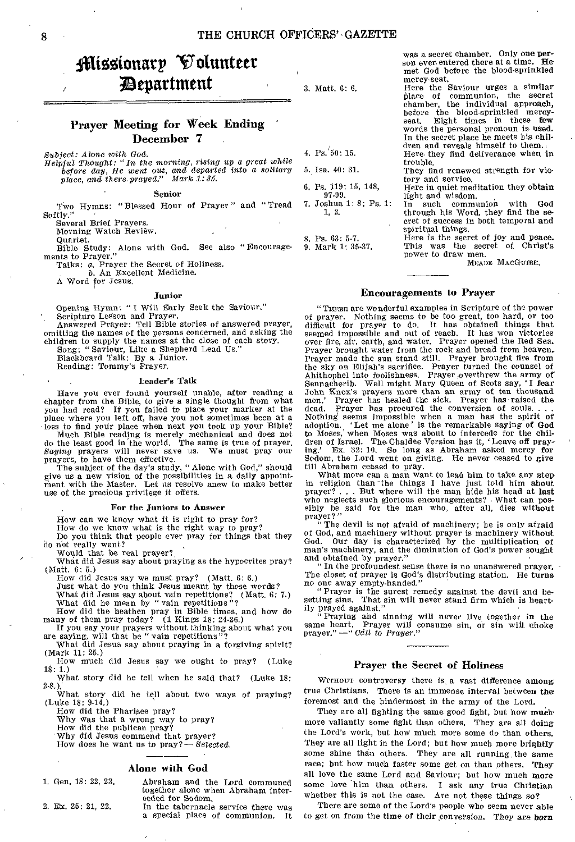#### 8 THE CHURCH OFFICERS' GAZETTE

## it Mionarp Volunteer sparttnent

#### Prayer Meeting for Week Ending December 7

*Subject: Alone with God.* 

*Helpful Thought: "In the morning, rising* up *a great while before day, He went out, and departed into a solitary place, and there, prayed." Mark 1:35.* 

Senior

TWo Hymns: "Blessed Hour of Prayer" and "Tread Softly."

Several Brief Prayers.

Morning Watch Review.

Quartet.

Bible Study: Alone with God. See also "Encouragements to Prayer."

Talks: *a.* Prayer the Secret of Holiness.

*b.* An Excellent Medicine.

A Word for Jesus,

#### Junior

Opening Hymn: "I Will Early Seek the Saviour."

Scripture Leeson and Prayer. Answered Prayer: Tell Bible stories of answered prayer, omitting the names of the persons concerned, and asking the children to supply the names at the close of each story.

Song: "Saviour, Like a Shepherd Lead Us." Blackboard Talk: By a Junior.

Reading: Tommy's Prayer.

#### Leader's Talk

Have you ever found yourself unable, after reading a chapter from the Bible, to give a single thought from what you had read? If you failed to place your marker at the place where you left off, have you not sometimes been at a loss to find your place when next you took up your Bible?

Much Bible reading is merely mechanical and does not do the least good in the world. The same is true of prayer. Saying prayers will never save us. We must pray our prayers, to have them effective.

The subject of the day's study, "Alone with God," should give us a new vision of the possibilities in a daily appoint-<br>ment with the Master. Let us resolve anew to make better<br>use of the precious privilege it offers.

#### For the Juniors to Answer

How can we know what it is right to pray for?

How do we know what is the right way to pray?

Do you think that people ever pray for things that they do not really want?

Would that be real prayer?

What did Jesus say about praying as the hypocrites pray? (Matt. 6: 5.)

How did Jesus say we must pray? (Matt. 6: 6.)

Just what do you think Jesus meant by those words?

What did Jesus say about vain repetitions? (Matt. 6: 7.)<br>What did he mean by "vain repetitions"?

How did the heathen pray in Bible times, and how do many of them pray today? (1 Kings 18: 24-26.) If you say your prayers without thinking about what you are saying, will that be "vain repetitions"?

What did Jesus say about praying in a forgiving spirit?

(Mark 11: 25.) How much did Jesus say we ought to pray? (Luke

18: 1.) What story did he tell when he said that? (Luke 18: 2-8.);

What story did he tell about two ways of praying? (Luke 18: 9-14.)

How did the Pharisee pray?

Why was that a wrong way to pray?

How did the publican pray?

'Why did Jesus commend that prayer?

How does he want us to pray? — *Selected.* 

#### Alone with God

1. Gen. 18: 22, 23. Abraham and the Lord communed together alone when Abraham interceded for Sodom.

2. Ex. 25: 21, 22. In the tabernacle service there was a special place of communion. It 3. Matt. 6: 6.

4. Ps./50: 15. 5. Ise. 40: 31. 6. Ps. 119: 15, 148, 97-99. 7. Joshua 1: 8; Ps. 1: 1, 2.

8. Ps. 63: 5-7. 9. Mark 1: 35-37.

was a secret chamber. Only one per-<br>son ever entered there at a time. He son ever entered there at a time. met God before the blood-sprinkled mercy-seat.

Here the Saviour urges a similar place of communion, the secret chamber, the individual approach, before the blood-sprinkled mercy-<br>seat. Eight times in these few words the personal pronoun is used. In the secret place he meets his children and reveals himself to them. Here- they find deliverance when in trouble.

They find renewed strength for victory and service.

Here in quiet meditation they obtain light and wisdom.

In such communion with God<br>through his Word, they find the secret of success in both temporal and spiritual things.

Here is the secret of joy and peace. This was the secret of Christ's power to draw men.

MEADE MACGUIRE,

#### Encouragements to Prayer

"THERE are wonderful examples in Scripture of the power of prayer. Nothing seems to be too great, too hard, or too difficult for prayer to do. It has obtained things that seemed impossible and out of reach. It has won victories over fire, air, earth, and water. Prayer opened the Red Sea. Prayer brought water from the rock and bread from heaven. Prayer made the sun stand still. Prayer brought fire from the sky on Elijah's sacrifice. Prayer turned the counsel of Ahithophel into foolishness. Prayer overthrew the army of Sennacherib. Well might Mary Queen of Scots say, I fear John Knox's prayers more than an army of ten thousand men.' Prayer has healed the sick. Prayer has-raised the dead. Prayer has procured the conversion of souls. . . . Nothing seems impossible when a man has the spirit of adoption. 'Let me alone' is the remarkable saying of God to Moses,' when Moses was about to intercede for the chil-dren of Israel. The.Chaldee Version has it, 'Leave off praying.' Ex. 32: 10. So long as Abraham asked mercy for Sodom, the Lord went on giving. He never ceased to give till Abraham ceased to pray.

What more can a man want to lead him to take any step in religion than -the things I have just told him about prayer? . . . But where will the man hide his head at last who neglects such glorious encouragements? What can possibly be said for the man who, after all, dies without prayer?" " The devil is not afraid of machinery; he is only afraid

of God, and machinery without prayer is machinery without God. Our day is characterized by the multiplication of man's machinery, and the diminution of God's power sought and obtained by prayer."

" In the profoundest sense there is no unanswered prayer.

The closet of prayer is God's distributing station. He turns no one away empty-handed." "Prayer is the surest remedy against the devil and be-setting sins. That sin will never stand firm which is heartily prayed against."

"Praying and sinning will never live together in the same heart. Prayer will consume sin, or sin will choke prayer." —" *Ccill to Prayer."* 

#### Prayer the Secret of Holiness

WITHOUT controversy there is a vast difference among true Christians. There is an immense interval between the foremost and the hindermost in the army of the Lord.

They are all fighting the same good fight, but how much' more valiantly some fight than others. They are all doing the Lord's work, but how much more some do than others. They are all light in the Lord; but how much more brightly some shine than others. They are all running the same race; but how much faster some get on than others. They all love the same Lord and Saviour; but how much more some love him than others. I ask any true Christian whether this is not the case. Are not these things so?

There are some of the Lord's people who seem never able to get on from the time of their conversion, They are horn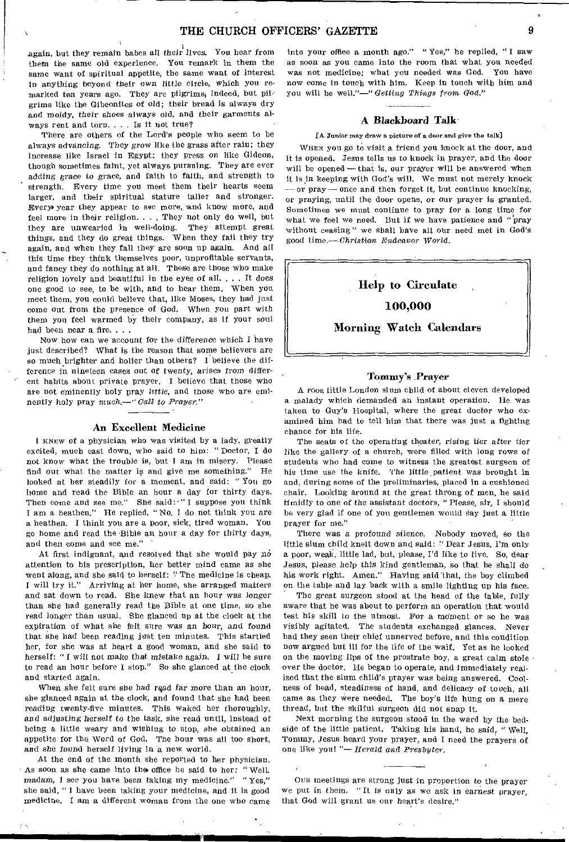again, but they remain babes all their lives. You hear from them the same old experience. You remark in them the same want of spiritual appetite, the same want of interest in anything beyond their own little circle, which you remarked ten years ago. They are pilgrims, Indeed, but pilgrims like the Gibeonites of old; their bread is always dry and moldy, their shoes *always* old, and their garments always rent and torn... , Is it not true?

There are others of the Lord's people who seem to be always advancing. They grow like the grass after rain; they increase like Israel in Egypt; they press on like Gideon, though sometimes faint, yet always pursuing. They are ever adding grace to grace, and faith to faith, and strength to strength. Every time you meet them their hearts seem larger, and their spiritual stature taller and stronger. Every. year they appear to see more,, and know more, and feel more in their religion. . They not only do well, but they are unwearied in well-doing. They attempt great things, and they do great things. When they fail they try again, and when they fall they are soon up again. And all this time they think themselves poor, unprofitable servants and fancy they do nothing at all. These are those who make religion lovely and beautiful in the eyes of all. . . It does one good to see, to be with, and to hear them. When you meet them, you could believe that, like Moses, they had just come out from the presence of God. When you part with them you feel warmed by their company, as if your soul had been near a fire. . , .

Now how can we account for the difference which  $I$  have just described? What is the reason that some believers are so much brighter and holier than others? I believe the difference in nineteen cases out of twenty, arises *from* different habits about private prayer. I believe that those who are not eminently holy pray *little,* and those who are eminently holy pray *mach.-- Call to Prayer."* 

#### An Excellent Medicine

I KNEW of a physician who was visited by a lady, greatly excited, much cast down, who said to him: " Doctor, I do not know what the trouble is, but I am in misery. Please find out what the matter is and give me something." He looked at her steadily for a moment, and said: "You go home and read the Bible an hour a day for thirty days. Then come and see me." She said: "I suppose you think I am a heathen." He replied, "No, I do not think you are a heathen. I think you are a poor, sick, tired woman. You go home and read the Bible an hour a day for thirty days, and then come and see me."

At first indignant, and resolved that she would pay no attention to his prescription, her better mind came as she went along, and she said to herself: "The medicine is cheap. I will try it." Arriving at her home, she arranged matters and sat down to read. She knew that an hour was *longer*  than she had generally read the Bible at one time, so she read longer than usual. She glanced up at the clock at the expiration of what she felt sure was an hour, and *found*  that she had been reading just ten minutes. This startled her, for she was at heart a good woman, and she said to herself: " I will not make that mistake again, I will be sure to read an hour before I stop." So she glanced at the clock and started again.

When she felt sure she had read far more than an hour, she glanced again at the clock, and found that she had been reading twenty-five minutes. This waked her thoroughly, and *adjusting* herself to the task, she read until, instead of being a little weary and wishing to stop, she obtained an appetite for the Word of God. The hour was all too short, and she found herself living in a new world.

At the end of the month she reported to her physician. As soon as she came into the office he said to her: "Well. madam, I see you have been taking my medicine." "Yes," she said, " I have been taking your medicine, and it is good medicine. I am a different woman from the one who came

into your office a month ago." "Yes," he replied, "I saw as soon as you came into the room that what you needed was not medicine; what you needed *was* God. You have now come in touch with him. Keep in touch with him and you will be *well."—"Getting Things from God."* 

#### A Blackboard Talk•

#### IA Junior may draw a picture of a door and give the talk)

WHEN you go to visit a friend you knock at the door, and it is opened. Jesus tells us to knock in prayer, and the door will be opened — that is, our prayer will be answered when it is in keeping with God's will. We must not merely knock — or pray — once and then forget it, but continue knocking, or praying, until the door opens, or our prayer is granted. Sometimes we must continue to pray for a long time for what we feel we need. But if we have patience and "pray without ceasing" we shall have all our need met in God's good time.—*Christian Endeavor World.* 



#### Tommy's Prayer

A POOR little London slum child of about eleven developed a malady which demanded an instant operation. He was taken to Guy's Hospital, where the great doctor who examined him had to tell him that there was just a fighting chance for his life.

The seats of the operating theater, rising tier *after tier*  like the gallery of a church, were filled with long rows of students who had come to witness the greatest surgeon of his time use the knife. The little, patient was brought in and, during some of the preliminaries, placed in a cushioned chair. Looking around at the great throng of men, he said timidly to one of the assistant doctors, "Please, sir, I should be very glad if one of you gentlemen would Say just a little prayer for me."

There was a profound silence. Nobody moved, so the little slum child knelt down and said: "Dear Jesus, I'm only a poor, weak, little lad, but, please, I'd like to live. So, dear Jesus, please help this kind gentleman, so that he shall do his work right. Amen." Having said 'that, the boy climbed on the table and lay back with a smile lighting up his face.

The great surgeon stood at the head of the table, fully aware that he was about to perform an operation that would test his skill to the utmost. For a moment or so he was visibly agitated. The students exchanged glances. Never had they seen their chief unnerved before, and this condition now argued but ill for the life of the waif. Yet as he looked on the moving lips of the prostrate boy, a great calm stole over the doctor. He began to operate, and immediately realized that the slum child's prayer was being answered. Coolness of head, steadiness of hand, and delicacy of touch, all came as they were needed. The boy's life hung on a mere thread, but the skilful surgeon did not snap it.

Next morning the surgeon stood in the ward by the bedside of the little patient. Taking his hand, he said, " Well, Tommy, Jesus heard your prayer, and I need the prayers of one like you! "— *Herald and Presbyter.* 

OUR meetings are strong just in proportion to the prayer we put in them. "It is only as we ask in earnest *prayer,*  that God will grant us our heart's desire."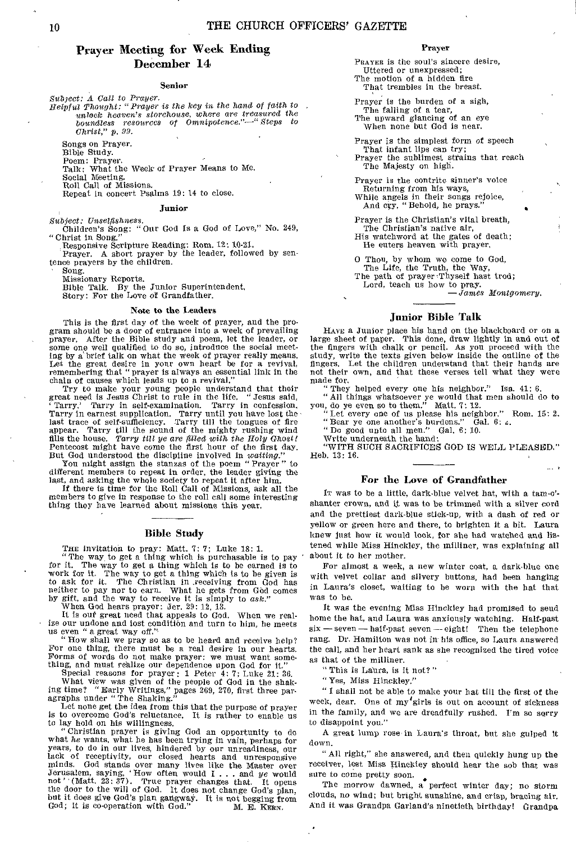#### Prayer Meeting for Week Ending December 14

#### Senior

*Subject: A Call to Prayer. Helpful Thought: "Prayer is the key in the hand of faith to unlock heaven's storehouse, where* are *treasured the boundless resources of Omnipotence."—"Steps to Christ," p. 99.* 

Songs on Prayer.

Bible Study.

Poem: Prayer.

Talk: What the Week-of Prayer Means to Me.

Social Meeting.

Roll Call of Missions,

Repeat in concert Psalms 19: 14 to close.

#### Junior

*Subject: Unselfishness.*  Children's Song: "Our God Is a God of Love," No. 249, "Christ in Song."

Responsive Scripture Reading: Rom. 12: 10-21.

Prayer. A short prayer by the leader, followed by sentence prayers by the children.

Song.

Missionary Reports. Bible Talk. By the Junior Superintendent. Story: For the Love of Grandfather.

#### Note to the Leaders

This is the first day of the week of prayer, and the program should be a door of entrance into a week of prevailing prayer. After the Bible study and poem, let the leader, or some one well qualified to do so, introduce the social meeting by a brief talk on what the week of prayer really means. Let the great desire in your own heart be for a revival, remembering that "prayer is always an essential link in the chain of causes which leads up to a revival."

Try to make your young people understand that their great need is Jesus Christ to rule in the life. "Jesus said, ' Tarry.' Tarry in self-examination. Tarry in confession. Tarry in earnest supplication. Tarry until you have lost the last trace of self-sufficiency. Tarry till the tongues of fire appear. Tarry till the sound of the mighty rushing wind fills the house. *Tarry till ye are filled with the Holy Ghost!*  Pentecost might have come the first hour of the first day.

But God understood the discipline involved in *waiting."*  You might assign the stanzas of the poem "Prayer" to different members to repeat in order, the leader giving the last, and asking the whole society to repeat it after him.

If there is time for the Roll Call of Missions, ask all the members to give in response to the roll call some interesting thing they have learned about missions this year,

#### Bible Study

THE invitation to pray: Matt. 7: 7; Luke 18: 1. "The way, to get a thing which is purchasable is to pay for it. The way to get a thing which is to be earned is to work for it. The way to get a thing which is to be given is<br>to ask for it. The Christian in receiving from God has<br>neither to pay nor to earn. What he gets from God comes<br>by gift, and the way to receive it is simply to ask

ize our undone and lost condition and turn to him, he meets us even " a great way off."

How shall we pray so as to be heard and receive help? For one thing, there must be a real desire in our hearts. Forms of words do not make prayer: we must want something, and must realize our dependence upon God for it."

Special reasons for prayer: 1 Peter 4: 7; Luke 21: 36.

What view was given of the people of God in the shaking time? "Early Writings," pages 269, 270, first three paragraphs under "The Shaking."

Let none get the idea from this that the purpose of prayer is to overcome God's reluctance. It is rather to enable us to lay hold on his willingness.

"Christian prayer is giving God an opportunity to do what *he* wants, what he has been trying in vain, perhaps for years, to do in our lives, hindered by our unreadiness, our lack of receptivity, our closed hearts and unresponsive minds. God stands over many lives like the Master over Jerusalem, saying, 'How often would  $I \ldots$  and  $ye$  would not' (Matt. 23: 37). True prayer changes that. It opens the door to the will of God. It does not change God's plan, but it does give God's plan gangway. It is not begging from God; it is co-operation with God." M. E. KERN,

#### Prayer

PRAYER is the soul's sincere desire, Uttered or unexpressed;

The motion of a hidden fire That trembles in the breast.

Prayer is the burden of a sigh, The falling of a tear, The upward glancing of an eye

When none but God is near.

Prayer is the simplest form of speech That infant lips can try;

Prayer the sublimest strains that reach The Majesty on high.

Prayer is the contrite sinner's voice Returning from his ways,

While angels in their songs rejoice,<br>And cyy, "Behold, he prays."

Prayer is the Christian's vital breath, The Christian's native air,

His watchword at the gates of death; He enters heaven with prayer.

0 Thou, by whom we come to God,

The Life, the Truth, the Way, The path of prayer Thyself hast trod; Lord, teach us how to pray.

*—James Montgomery.* 

#### Junior Bible Talk

HAVE a Junior place his hand on the blackboard or on a large sheet of paper. This done, draw lightly in and out of the fingers with chalk or pencil. As you proceed with the study, write the texts given below inside the outline of the fingers. Let the children understand that their hands are not their own, and that these verses tell what they were made for.

"They helped every one his neighbor." Isa. 41: 6. "All things whatsoever ye would that men should do to you, do ye even so to them." Matt. 7: 12.

"Let every one of us please his neighbor." Rom. 15: 2.<br>"Bear ye one another's burdens." Gal. 6:  $\Delta$ .<br>"Do good unto all men." Gal. 6: 10.

Write underneath the hand:

"WITH SUCH SACRIFICES GOD IS WELL PLEASED." Heb. 13: 16.

#### For the Love of Grandfather

In was to be a little, dark-blue velvet hat, with a tam-o'shanter crown, and it was to be trimmed with a silver cord and the prettiest dark-blue stick-up, with a dash of red or yellow or green here and there, to brighten it a bit. Laura knew just how it would look, for she had watched and listened while Miss Hinckley, the milliner, was explaining all about it to her mother.

For almost a week, a new winter coat, a dark-blue one with velvet collar and silvery buttons, had been hanging in Laura's closet, waiting to be worn with the hat that was to be.

It was the evening Miss Hinckley had promised to send home the hat, and Laura was anxiously watching. Half-past  $six$  — seven — half-past seven — eight! Then the telephone rang. Dr. Hamilton was not in his office, so Laura answered the call, and her heart sank as she recognized the tired voice as that of the milliner.

"This is Laura, is it not?"

" Yes, Miss Hinckley."

" I shall not be able to make your hat till the first of the week, dear. One of  $my'$ girls is out on account of sickness in the family, and we are dreadfully rushed. I'm so sorry to disappoint you."

A great lump rose- in Laura's throat, but she gulped it down.

"All right," she answered, and then quickly hung up the receiver, lest Miss Hinckley should hear the sob that was sure to come pretty soon,

The morrow dawned, a perfect winter day; no storm clouds, no wind; but bright sunshine, and crisp, bracing air. And it was Grandpa Garland's ninetieth birthday! Grandpa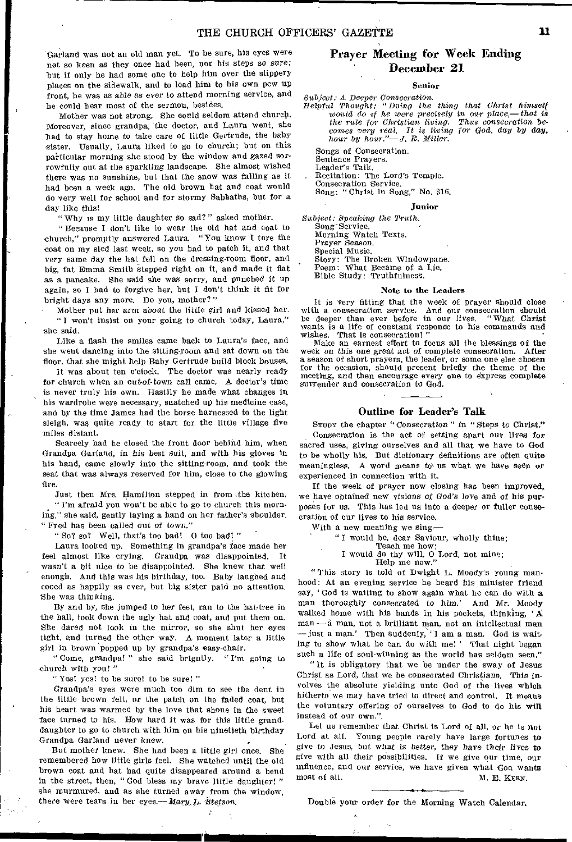Garland was not an old man yet. To be sure, his eyes were not so keen as they once had been, nor his steps so sure; but if only he had some one to help him over the slippery places on the Sidewalk, and to lead him to his own pew up front, he was as able as ever to attend morning service, and he could hear most of the sermon, besides.

Mother was not strong. She could seldom attend church. Moreover, since grandpa, the doctor, and Laura went, she had to stay home to take care of little Gertrude, the baby sister. Usually, Laura liked to go to church; but on this particular morning she stood by the window and gazed sorrowfully out at the sparkling landscape. She almost wished there was no sunshine, but that the snow was falling as it had been a week ago. The old brown hat and coat would do very well for school and for stormy Sabbaths, but for a day like this!

" Why is my little daughter so sad?" asked mother.

" Because I don't like to wear the old hat and coat to church," promptly answered Laura "You know I tore the coat on my sled last week, so you had to patch it, and that very same day the hat fell on the dressing-room floor, and big, fat Emma Smith stepped right on it, and made it flat as a pancake. She said she was sorry, and punched it up again, so I had to forgive her, but I don't think it fit for bright days any more. Do you, mother?"

Mother put her arm about the little girl and kissed her. " I won't insist on your going to church today, Laura," she said.

Like a flash the smiles came back to Laura's face, and she went dancing into the sitting-room and sat down on the floor, that she might help Baby Gertrude build block houses.

It was about ten o'clock. The doctor was nearly ready for church when an *out-of-town* call came. A doctor's time is never truly his own. Hastily he made what changes in his wardrobe were necessary, snatched up his medicine case, and by the time James had the horse harnessed to the light sleigh, was quite ready to start for the little village five miles distant.

Scarcely had he closed the front door behind him, when Grandpa Garland, in his best suit, and with his gloves in his hand, came slowly into the sitting-room, and took the seat that was always reserved for him, close to the glowing fire.

Just then Mrs. Hamilton stepped in from .the kitchen. " I'm afraid you won't be able to go to church this morn-

ing," she said, gently laying a hand on her father's shoulder. "Fred has been called out of town."

" So? so? Well, that's too bad! 0 too bad! "

Laura looked up. Something in grandpa's face made her feel almost like crying. Grandpa was disappointed. It wasn't a bit nice to be disappointed. She knew that well enough. And this was his birthday, too. Baby laughed and cooed as happily as ever, but big sister paid no attention. She was thinking.

By and by, she jumped to her feet, ran to the hat-tree in the hall, took down the ugly hat and coat, and put them on. She dared not look in the mirror, so she shut her eyes tight, and turned the other way. A moment later a little girl in brown popped up by grandpa's easy-chair.

" Come, grandpa! " she said brigntly. " I'm going to church with you! "

" Yes! yes! to be sure! to be sure! "

Grandpa's eyes were much too dim to see the dent in the little brown felt, or the patch on the faded coat, but his heart was warmed by the love that shone in the sweet face turned to his. How hard it was for this little granddaughter to go to church with him on his ninetieth birthday Grandpa Garland never knew.

But mother knew. She had been a little girl once. She remembered how little girls feel. She watched until the old brown coat and hat had quite disappeared around a bend in the street, then, " God bless my brave little daughter! " she murmured, and as she turned away from the window, there were tears in her eyes.—Mary, L. Stetson.

#### Prayer Meeting for Week Ending December 21

#### Senior

*Subject: A Deeper Consecration. Helpful Thought: "Doing the thing that Christ himself would do if he were* precisely in *our place,—that is the rule for Christian living. Thus consecration* be-comes *very* real. *It is living for God,* day by *day, hour by hour."—,I. R. Miller.* 

Songs of Consecration.

Sentence Prayers.

Leader's Talk.

Recitation: The Lord's Temple. Consecration Service.

Song: "Christ in Song," No. 316,

Junior

*Subject: Speaking the Truth.*  Song-Service. Morning Watch Texts. Prayer Season. Special Music.

Story: The Broken Windowpane. Poem: What Became of a Lie. Bible Study: Truthfulness.

#### Note to the Leaders

It is very fitting that the week of prayer should close with a consecration service. And our consecration should be deeper than ever before in our lives. " What Christ wants is a life of constant response to his commands and wishes. That is consecration! "

Make an earnest effort to focus all the blessings of the week on this one great act of complete consecration. After a season of short prayers, the leader, or some one else chosen for the occasion, should present briefly the theme of the meeting, and then encourage every one to express complete surrender and consecration to God.

#### Outline for Leader's Talk

STUDY the chapter "Consecration" in "Steps to Christ." Consecration is the act of setting apart our lives for sacred uses, giving ourselves and all that we have to God to be wholly his. But dictionary definitions are often quite meaningless. A word means to us what we have seen or experienced in connection with it.

If the week of prayer now closing has been improved, we have obtained new visions of God's love and of his purposes for us. This has led us into a deeper or fuller consecration of our lives to his service.

With a new meaning we sing—

" I would be, dear Saviour, wholly thine;

Teach me how;

I would do thy will, 0 Lord, not mine;

Help me now."

" This story is told of Dwight L. Moody's young manhood: At an evening service he heard his minister friend say, ' God is waiting to show again what he can do with a man thoroughly consecrated *to him.'* And Mr. Moody walked home with his hands in his pockets, thinking, ' A  $man -\hat{a}$  man, not a brilliant man, not an intellectual man  $-$  just a man.' Then suddenly,  $\overline{I}$  am a man. God is waiting to show what he can do with me! ' That night began such a life of soul-winning as the world has seldom seen."

" It is obligatory that we be under the sway of Jesus Christ as Lord, that we be consecrated Christians. This involves the absolute yielding unto God of the lives which hitherto we may have tried to direct and control. It means the voluntary offering of ourselves to God to do his will instead of our own."

Let us remember that Christ is Lord of all, or he is not Lord at all. Young people rarely have large fortunes to give to Jesus, but what is better, they have their lives to give with all their possihilities. If we give our time, our influence, and our service, we have given what Goa wants<br>most of all. M. E. KERN.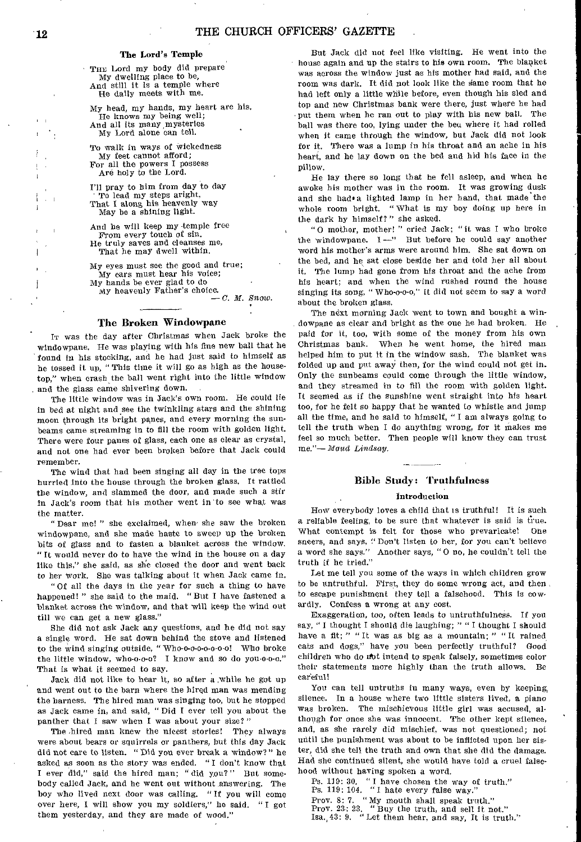#### The Lord's Temple

THE Lord my body did prepare My dwelling place to be, And still it is a temple where He daily meets with me.

My head, my hands, my heart are his. He knows my being well; And all its many,mysteries My Lord alone can tell.

To walk in ways of wickedness My feet cannot afford; For all the powers I possess Are holy to the Lord.

I'll pray to him from day to day To lead my steps aright, That I along his heavenly way May be a shining light.

And he will keep my temple free From every touch of sin. He truly saves and cleanses me, That he may dwell within.

My eyes must see the good and true; My ears must hear his voice; My hands be ever glad to do My heavenly Father's choice.

*—C. M. Snow.* 

#### The Broken Windowpane

IT was the day after Christmas when Jack broke the windowpane. He was playing with his fine new ball that he found in his stocking, and he had just said to himself as he tossed it up, "This time it will go as high as the housetop," when crash the ball went right into the little window and the glass came shivering down.

The little window was in Jack's own room. He could lie in bed at night and see the twinkling stars and the shining moon through its bright panes, and every morning the sunbeams came streaming in to fill the room with golden light. There were four panes of glass, each one as clear as crystal, and not one had ever been broken before that Jack could remember.

The wind that had been singing all day in the tree tops hurried into the house through the broken glass. It rattled the window, and slammed the door, and made such a stir in Jack's room that his mother went in to see what was the matter.

" Dear me! " she exclaimed, when she saw the broken windowpane, and she made haste to sweep up the broken bits of glass and to fasten a blanket across the window. "It would never do to have the wind in the house on a day like this," she said, as she closed the door and went back to her work. She was talking about it when Jack came in.

"Of all the days in the year for such a thing to have happened! " she said to the maid. "But I have fastened a blanket across the window, and that will keep the wind out till we can get a new glass."

She did not ask Jack any questions, and he did not say a single word. He sat down behind the stove and listened to the wind singing outside, " Who-o-o-o-o-o-o-o! Who broke the little window, who-o-o-o? I know and so do you-o-o-o." That is what it seemed to say.

Jack did not like to hear it, so after a while he got up and went out to the barn where the hired man was mending the harness. The hired man was singing too, but he stopped as Jack came in, and said, " Did I ever tell you about the panther that I saw when I was about your size?"

The hired man knew the nicest stories! They always were about bears or squirrels or panthers, but this day Jack did not care to listen. "Did you ever break a window?" he asked as soon as the story was ended. " I don't know that I ever did," said the hired man; "did you?" But somebody called Jack, and he went out without answering. The boy who lived next door was calling. " If you will come over here, I will show you my soldiers," he said. " I got them yesterday, and they are made of wood."

But Jack did not feel like visiting. He went into the house again and up the stairs to his own room. The blanket was across the window just as his mother had said, and the room was dark. It did not look like the same room that he had left only a little while before, even though his sled and top and new Christmas bank were there, just where he had put them when he ran out to play with his new ball. The ball was there too, lying under the beu where it had rolled when it came through the window, but Jack did not look for it. There was a lump in his throat and an ache in his heart, and he lay down on the bed and hid his face in the pillow.

He lay there so long that he fell asleep, and when he awoke his mother was in the room. It was growing dusk and she had a lighted lamp in her hand, that made the whole room bright. " What is my boy doing up here in the dark by himself?" she asked.

" O mother, mother! " cried Jack; " it was I who broke the windowpane. I —" But before he could say another word his mother's arms were around him. She sat down on the bed, and he sat close beside her and told her all about it. The lump had gone from his throat and the ache from his heart; and when the wind rushed round the house singing its song, " Who-o-o-o," it did not seem to say a word about the broken glass.

The next morning Jack went to town and bought a windowpane as clear and bright as the one he had broken. He paid for it, too, with some of the money from his own Christmas bank. When he went home, the hired man helped him to put it in the window sash. The blanket was folded up and put away then, for the wind could not get in. Only the sunbeams could come through the little window, and they streamed in to fill the room with golden light. It seemed as if the sunshine went straight into his heart too, for he felt so happy that he wanted to whistle and jump all the time, and he said to himself, "I am always going to tell the truth when I do anything wrong, for it makes me feel so much better. Then people will know they can trust me."— *Maud Lindsay.* 

## Bible Study: Truthfulness

#### Introduction

How everybody loves a child that is truthful! It is such a reliable feeling, to be sure that whatever is said is tine. What contempt is felt for those who prevaricate! One sneers, and says, "Don't listen to her, for you can't believe a word she says." Another says, " 0 no, he couldn't tell the truth if he tried."

Let me tell you some of the ways in which children grow to be untruthful. First, they do some wrong act, and then, to escape punishment they tell a falsehood. This is cowardly. Confess a wrong at any cost.

Exaggeration, too, often leads to untruthfulness. If you say, " I thought I should die laughing; " " I thought I should have a fit; " "It was as big as a mountain; " "It rained cats and dogs," have you been perfectly truthful? Good children who do not intend to speak falsely, sometimes color their statements more highly than the truth allows. Be careful!

You can tell untruths in many ways, even by keeping, silence. In a house where two little sisters lived, a piano was broken. The mischievous little girl was accused, although for once she was innocent. The other kept silence, and, as she rarely did mischief, was not questioned; not until the punishment was about to be inflicted upon her sister, did she tell the truth and own that she did the damage. Had she continued silent, she would have told a cruel falsehood without having spoken a word.

Ps. 119: 30. " I have chosen the way of truth." Ps. 119: 104. " I hate every false way." Prov. 8: 7. " My mouth shall speak truth." Prov. 23: 23. "Buy the truth, and sell it not." Isa., 43: 9. "Let them hear, and say, It is truth."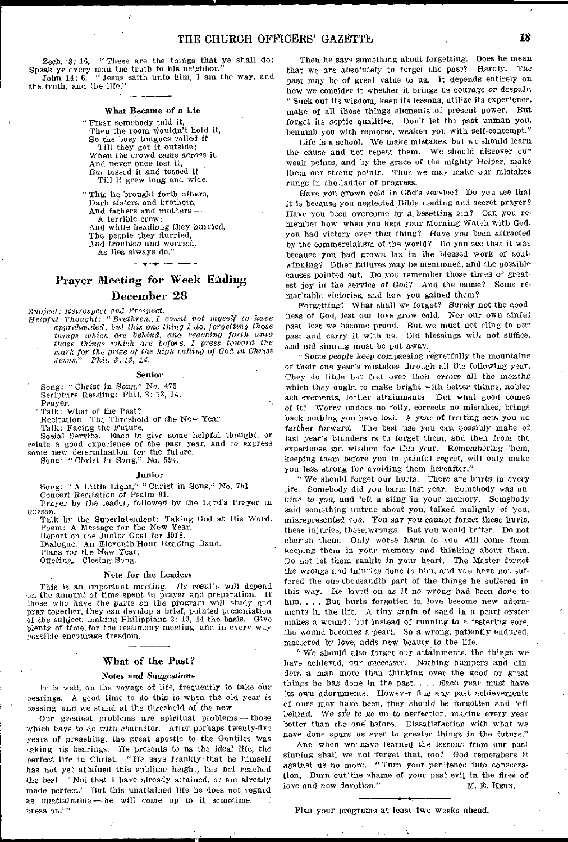Zech. 8: 16. "These are the things that ye shall do:<br>Speak ye every man the truth to his neighbor." John. 14: 6. " Jesus saith unto him, I am the way, and the, truth, and the life."

#### What Became of a Lie

" FIRST somebody told it, Then the room wouldn't hold it, So the busy tongues rolled it Till they got it outside; When the crowd came across it, And never once lost it, But tossed it and tossed it Till it grew long and wide.

"This lie brought forth others, Dark sisters and brothers, And fathers and mothers A terrible crew; And while headlong they hurried, The people they flurried, And troubled and worried, As lies always do."

## Prayer Meeting for Week Eading

#### December 28

*Subject: Retrospect and Prospect, Helpful Thought: "Brethren,. I count not myself to have apprehended: but this one thing I do, forgetting those things which are behind, and reaching forth unto• those things which are before, I press toward the mark for the prize of the high calling of God in Christ Jesus." Phil. 3: 13, 14.* 

#### Senior

Song: "Christ in Song," No, 476. Scripture Reading: Phil, 3: 18, 14. Prayer.

Talk: What of the Past? Recitation: The Threshold of the New Year

Talk: Facing the Future.

Social Service, Each to give some helpful thought, or relate a good experience of the past year, and to express some new determination for the future,

Song: "Christ in Song," No. 694.

#### Junior

Song: "A Little Light," "Christ in Song," No. 761,

Concert Recitation *of* Psalm 91.

Prayer by the leader, followed by the Lord's Prayer in unison.

Talk by the Superintendent: Taking God at His Word. Poem: A Message for the New Year, Report on the Junior Goal for 1918.

Dialogue: An Eleventh-Hour Reading Band.

Plans for the New Year. Offering. Closing Song.

#### Note for the Leaders

• This is an important meeting. Its results will depend on the amount of time spent in prayer and preparation. those who have the parts on the program will study and pray together, they can develop a brief, pointed presentation of the subject, making Philippians 3: 13, 14 the basis. Give plenty of time, for the testimony meeting, and in every way *possible* encourage freedom.

#### What of the Past?

#### Notes and *Suggestions*

It is well, on the voyage of life, frequently to take our bearings. A good time to do this is when the old year is *passing,* and we stand at the threshold of the new.

Our greatest problems are spiritual problems — those which have to do with character. After perhaps twenty-five years of preaching, the great apostle to the Gentiles was taking his bearings. He presents to us the ideal life, the perfect life in Christ. " He says frankly that he himself has not yet attained this sublime height, has not reached -the best. ' Not that I have already attained, or am already made perfect.' But this unattained life he does not regard as unattainable  $-$  he will come up to it sometime. press on.""

Then he says something about forgetting. Does he mean that we are absolutely to forget the past? Hardly. The past may be of great value to us. It depends entirely on how we consider it whether it brings us courage or despair. " Suck'out its wisdom, keep its lessons, utilize its experience, make of all those things elements of present power. But *forget* its septic qualities. Don't let the past unman you, benumb you with remorse, weaken you with self-contempt."

Life is a school. We make mistakes, but we should learn the cause and not repeat them. We should discover our weak points, and by the grace of the mighty Helper, make them our strong points. Thus we may make our mistakes rungs in the.ladder of progress.

Have you grown cold in Gbd's service? Do you see that it is because you neglected, Bible reading and secret prayer? Have you been overcome by a. besetting sin? Can you remember how, when you kept your Morning Watch with God, you had victory over that thing? Have you been attracted by the commercialism of the world? Do you see that it was because you had grown lax in the blessed work of soulwinning? Other failures may be mentioned, and the possible causes pointed out. Do you remember those times of greatest joy in the *service of* God? And the cause? Some remarkable victories, and how you gained them?

Forgetting! What shall we forget? *Surely* not the goodness of God, lest our love grow cold. Nor our own sinful past, lest we become proud. But we must not cling to our past and carry it with us. Old blessings will not suffice, and old sinning must be put away.

"Some people keep compassing regretfully the mountains of their one year's mistakes through all the following year. They do little but fret over their errors all the months which they ought to make bright with better things, nobler achievements, loftier attainments. But what good comes *of* it? Worry undoes no folly, corrects no mistakes, brings back nothing you have lost. A year of fretting sets you no farther forward. The best use you can possibly make of last year's blunders is to' forget them, and then from the experience get wisdom for this year. Remembering them, keeping them before you in painful regret, will only make you less strong for avoiding them hereafter."

" We should forget our hurts., There are hurts in every life. Somebody did you harm last year. Somebody was unkind to *you,* and left a sting in your memory. Somebody said something untrue about you, talked malignly of you, misrepresented you. You say you *cannot* forget these harts, these injuries, these,wrongs. But you would better. Do not cherish them. Only worse harm to you will come *from*  keeping them in your memory and thinking about them. Do not let them rankle in your heart. The Master forgot the *wrongs* and injuries done to him, and you have not suffered the one-thousandth part of the things he suffered in this way. He loved on *as if no wrong* had been done to him, ... But hurts forgotten in love become new adornments in the life. A tiny grain of sand in a pearl oyster makes a wound; but instead of running to a festering sore, the wound becomes a pearl. So a wrong, patiently endured, mastered by love, adds new beauty to the life.

" We should also forget our attainments, the things we have achieved, our successes. *Nothing* hampers and hinders a man more than thinking over the good or great things he has done in the past. . . . Each year must have its own adornments. However fine any past achievements of ours may have been, they should be forgotten and left behind. We are to go on to perfection, making every year better than the one before. Dissatisfaction with what we have done spurs us ever to greater things in the future."

And when we' have learned the lessons from our past sinning shall we not 'forget that, too? God remembers it against us no more, " Turn your penitence into consecration. Burn out'the shame of your past evil in the fires of love and new devotion," M. E. KERN,

Plan your programs at least two weeks ahead.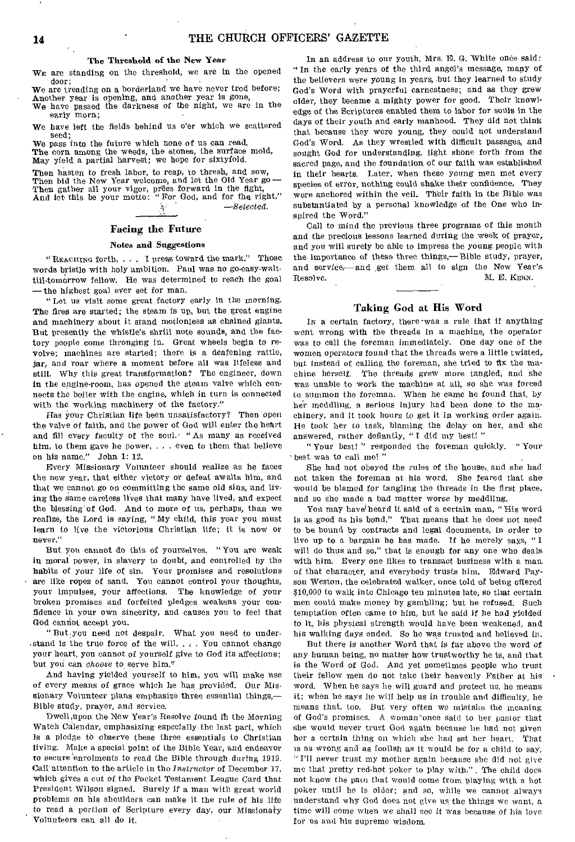#### **The Threshold of the New Year**

WE are standing on the threshold, we are in the opened door;

We are treading on a borderland we have never trod before; Another year is opening, and another year is gone,

**We** have passed the darkness of the night, we are in the early morn;

We have left the fields behind us o'er which we scattered seed;

We pass into the future which none of us can read. **The** corn among the weeds, the stones, the surface mold, **May** yield a partial harvest; we hope for sixtyfold.

Then hasten to fresh labor, to reap, to thresh, and sow, Then bid the New Year welcome, and let the Old Year go— Then gather all your vigor, press forward in the fight, And let this be your motto: "For God, and for the right." *—Selected.* 



#### Facing the Future

#### **Notes and Suggestions**

"REACHING forth, . I press toward the mark." Those words bristle with holy ambition. Paul was no go-easy-waittill-tomorrow fellow. He was determined to reach the goal — the highest goal ever set for man,

" Let us visit some great factory early in the morning. The fires are started; the steam is up, but the great engine and machinery about It stand motionless as chained giants. But presently the whistle's shrill note sounds, and the factory people come thronging in. Great wheels begin to revolve; machines are started; there is a deafening rattle, jar, and roar where a moment before all was lifeless and still. Why this great transformation? The engineer, down **in** the engine-room, has opened the steam valve which connects the boiler with the engine, which in turn is connected with the working machinery of the factory."

Has your Christian life been unsatisfactory? Then open the valve of faith, and the power of God will enter the heart and fill every faculty of the soul.<sup>'</sup> "As many as received him, to them gave he power, . . even to them that believe **on** his name" John **1:** 12.

Every Missionary Volunteer should realize as he faces **the** new year, that either victory or defeat awaits him, and that we cannot go on committing the same old sins, and living the same careless lives that many have lived, and expect the blessing'of God. And to more of us, perhaps, than we realize, the Lord is saying, "My child, this year you must learn to live the victorious Christian life; it is now or never."

But you cannot do this of yourselves. "You are weak in moral power, in slavery to doubt, and controlled by the habits of your life of sin. Your promises and resolutions are like ropes of sand. You cannot control your thoughts, your impulses, your affections. The knowledge of your broken promises and forfeited pledges weakens your confidence in your own sincerity, and causes you to feel that God cannot accept you.

"But you need not despair. What you need to under- -stand is the true force of the will. . . You cannot change your heart, you cannot of yourself give to God its affections; but yoti can *choose* to serve him,"

And having yielded yourself to him, you will make use of every means of grace which he has provided. Our Missionary Volunteer plans emphasize three essential things,-Bible study, prayer, and service.

Dwell upon the New Year's Resolve found ih. the Morning Watch Calendar, emphasizing especially the last part, which is a pledge to observe these three essentials to Christian living. Make a special point of the Bible Year, and endeavor to secure "enrolments to read the Bible through during 1919. Call' attention to the article in the *Instructor* of December 17, which gives a cut of the Pocket Testament League Card that President Wilson signed. Surely if a man with great world problems on his shoulders can make it the rule of his life to read a portion of Scripture every day, our Missionary Volunteers can all do it.

In an address to our youth, Mrs. E. G. White once said: In the early years of the third angel's message, many of the believers were young in years, but they learned to study God's Word with prayerful earnestness; and as they grew older, they became a mighty power for good. Their knowl, edge of the Scriptures enabled them to labor for souls in the days of their youth and early manhood. They did not think that because they were young, they could not understand God's Word. As they wrestled with difficult passages, and sought God for understanding, light shone forth from the sacred page, and the foundation of our faith was established in their hearts. Later, when these young men met every species of error, nothing could shake their confidence. They were anchored within the veil. Their faith in the Bible was substantiated by a personal knowledge of the One who inspired the Word."

Call to mind the previous three programs of this month and the precious lessons learned during the week of prayer, and you will surely be able to impress the young people with the importance of these three things,— Bible study, prayer, and service,-and get them all to sign the New Year's Resolve. M. E. KERN.

#### Taking God at His Word

In a certain factory, there was a rule that if anything went wrong with the threads in a machine, the operator was to call the foreman immediately. One day one of the women operators found that the threads were a little twisted,. but instead of calling the foreman, she tried to fix the machine herself. The threads grew more tangled, and she was unable to work the machine at all, so she was forced to summon the foreman. When he came he found that, by her meddling, a serious injury had been done to the machinery, and it took hours to get it in working order again. He took her to task, blaming the delay on her, and she answered, rather defiantly, " I did my best! "

"Your best! " responded the foreman quickly. "Your 'best was to call me! "

She had not obeyed the rules of the house, and she had not taken the foreman at his word. She feared that she would be blamed for tangling the threads in the first place, and so she made a bad matter worse by meddling.

You may have heard it said of a certain man, "His word is as good as his bond." That means that he does not need to be bound by contracts and legal documents, in order to live up to a bargain he has made. If he merely says, " **I**  will do thus and so," that is enough for any one who deals with him. Every one likes to transact business with a man, of that character, and everybody trusts him. Edward Payson Weston, the celebrated walker, once told of being offered \$10,000 to walk into Chicago ten minutes late, so that certain men could make money by gambling; but he refused, Such temptation often came to him, but he said if he had yielded to it, his physical strength would have been weakened, and his walking days ended. So he was trusted and believed in.

But there is another Word that is far above the word of any human being, no matter how trustworthy he is, and that is the Word of God. And yet sometimes people who trust their fellow men do not take their heavenly Father at his' word. When he says he will guard and protect us, he means it; when he says he will help us in trouble and difficulty, he means that, too. But very often we mistake the moaning of God's promises. A woman once said to her pastor that she would never trust God again because he had not given her a certain thing on which she had set her heart. That is as wrong and as foolish as it would be for a child to say, " I'll never trust my mother again because she did not give me that pretty red-hot poker to play with." , The child does not know the pain that would come from playing with a hot poker until he is older; and so, while we cannot always understand why God does not give us the things we want, a time will come when we shall see it was because of his love for us and his supreme wisdom.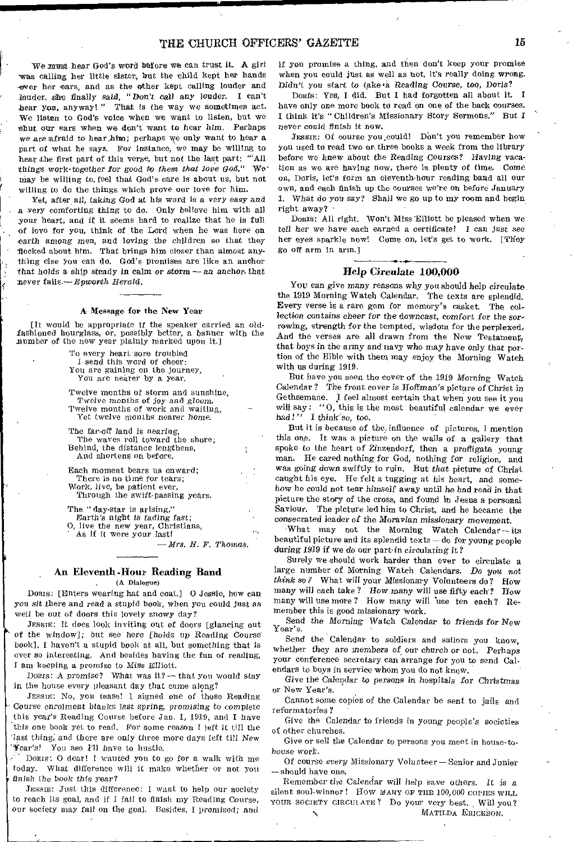We must hear God's word before we can trust it. A girl was calling her little sister, but the child kept her hands wer her ears, and as the other kept calling louder and louder, she finally *said,* "Don't call any louder. I can't hear you, anyway! " That is the way we sometimes act. We listen to God's voice when we want to listen, but we shut our ears when we don't want to hear him, Perhaps we are afraid to hear him; perhaps we only want to hear a part of what he says. For instance, we may be willing to hear the first part of this verse, but not the last part: "'All things work-together for good to them that love God." may be willing to, feel that God's care is about us, but not willing to do the things which prove our love for him.

Yet, after all, taking God at his word is a very easy and • a very comforting thing to do. Only believe him with all your heart, and if it seems hard to realize that he is full of love for you, think of the Lord when he was here on earth *among* men, and loving the children so that they flocked about him. That brings him closer than almost anything else you can do. God's promises are like an anchor that holds a ship steady in calm *or* storm—an anchor. that -never fails.— *Epworth Herald.* 

#### A, Message for the New Year

[It would be appropriate if the speaker carried an oldfashioned hourglass, or, possibly better, a banner with the number of the new year plainly marked upon it.]

> To every heart sore troubled I send this word of cheer: You are gaining on the journey, You are nearer by a year.

Twelve months of storm and sunshine, Twelve months *of* joy and gloom, Twelve months of work and waiting, Yet twelve months nearer home.

The far-off land is nearing The waves roll toward the shore; Behind, the distance lengthens, And shortens on before.

Each moment bears us onward; There is no time for tears; Work, live, be patient ever, Through the swift-passing years.

The "day-star is arising," Earth's *night is fading fast;*  0, live the new year, Christians, As if it were your last!

*— Mrs. H. F. Thomas.* 

#### An Eleventh-Hour Reading Band

#### (A Dialogue)

Dons: [Enters wearing hat and coat.] 0 Jessie, how can you *sit* there and read a stupid book, when you could just as well be out of doors this lovely snowy day?

JESSIE: It does look inviting out of doors [glancing out of the window]; but see here [holds up Reading Course book], I haven't a stupid book at all, but something that is ever so interesting. And besides having the fun of reading, I am keeping a promise to Miss Elliott.

DOBIS: A promise? What was it? -- that you would stay in the house every pleasant day that came along?

JESSIE: No, you tease! I signed one of those Reading Course enrolment blanks last *spring, promising* to complete this year's Reading Course before Jan. 1, 1919, and I have this one book yet to read. For some reason I left it till the last thing, and there are only three more days left till New 'Tear's! You see I'll have to hustle.

Donis: O dear! I wanted you to go for a walk with me today. What difference will it make whether or not you finish the book this year?

JESSIE: Just this difference: I want to help our society to reach its goal, and if I fail to finish my Reading Course, our society may fail on the goal. Besides, I promised; and if you promise a thing, and then don't keep your promise when you could just as well as not, it's really doing wrong. Didn't you start to take a Reading Course, too, Doris?

Dents: Yes, I did. But I had forgotten all about it. I have only one more book to read on one of the back courses. I think it's "Children's Missionary Story Sermons." But I never could finish it now.

JESSIE: Of course you could! Don't you remember how you used to read two or, three books a week from the library before we knew about the Reading Courses? *Having* vacation as we are having now, there is plenty of time. Come on, Doris, let's form an eleventh-hour reading band all our own, and each finish up the courses we're on before January 1. What do you say? Shall we go up to my room and begin right away?

Doors: All right. Won't Miss 'Elliott be pleased when we tell her we have each earned a certificate! I can just see her eyes sparkle now! Come on, let's get to work. [They go oil arm in arm.]

#### Help Cireu/ate 100,000

You can give many reasons why you should help circulate the 1919 Morning Watch Calendar. The texts are splendid. Every verse is a rare gem for memory's casket. The collection contains cheer *for* the downcast, *comfort for the* sorrowing, strength for the tempted, wisdom for the perplexed, And the verses are all drawn from the New Testament. that boys in the army and navy who may have only that portion of the Bible with them may enjoy the Morning Watch with us during 1919.

But have you seen the cover of the 1919 Morning Watch Calendar ? The front cover is Hoffman's picture of Christ in Gethsemane. I feel almost certain that when you see it you will say: "0, this is the most beautiful calendar we ever had!" I think so, too.

But it is because of the influence of pictures, I mention this one. It was a picture on the walls of a gallery that spoke to the heart of Zinzendorf, then a profligate young man. He cared nothing for God, nothing for religion, and was going down swiftly to ruin, But *that* picture of Christ caught his eye. He felt a tugging at his heart, and somehow he could not tear himself away until he had read in that picture the story of the cross, and found in Jesus a personal Saviour. The picture led him to Christ, and he became the consecrated *leader of the Moravian missionary* movement.

What may not the Morning Watch Calendar -- its beautiful picture and its splendid texts — do for young people during 1919 if we do our part in circulating it?

Surely we should work harder than ever to circulate a large number of Morning Watch Calendars. *Do you not think so?* What will your Missionary Volunteers do? How many will each take ? How many will use fifty each? How many will use more ? How many will 'use ten each? Remember this is good missionary work.

Send the *Morning Watch* Calendar to *friends for* New Year's.

Send the Calendar to soldiers and sailors you know, whether *they are* members *of* our church or not. Perhaps your conference secretary can arrange for you to send Calendars to boys in service whom you do not know.

*Give* the Calendar to persons *in* hospitals for Christmas or New Year's.

Cannot some copies of the Calendar be sent to jails and reformatories?

Give the Calendar to friends in young people's societies of other churches.

Give or sell the Calendar to persons you meet in house-tohouse work.

Of course *every* Missionary Volunteer— Senior and Junior — should have one.

Remember the Calendar will help save others. *It* is a silent soul-winner! How MANY OF THE 100,000 COPIES WILL YOUR SOCIETY CIRCULATE? Do your very best. Will you?

MATILDA ERICKSON.